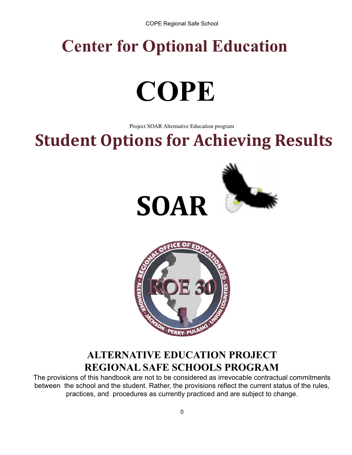## **Center for Optional Education**

# **COPE**

Project SOAR Alternative Education program

## **Student Options for Achieving Results**







## **ALTERNATIVE EDUCATION PROJECT REGIONAL SAFE SCHOOLS PROGRAM**

The provisions of this handbook are not to be considered as irrevocable contractual commitments between the school and the student. Rather, the provisions reflect the current status of the rules, practices, and procedures as currently practiced and are subject to change.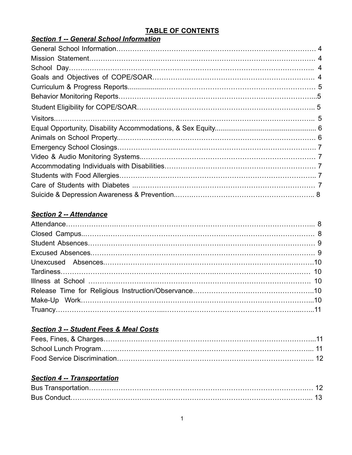#### **TABLE OF CONTENTS**

| <b>Section 1 -- General School Information</b> |  |
|------------------------------------------------|--|
|                                                |  |
|                                                |  |
|                                                |  |
|                                                |  |
|                                                |  |
|                                                |  |
|                                                |  |
|                                                |  |
|                                                |  |
|                                                |  |
|                                                |  |
|                                                |  |
|                                                |  |
|                                                |  |
|                                                |  |
|                                                |  |
|                                                |  |

#### *Section 2 -- Attendance*

#### *Section 3 -- Student Fees & Meal Costs*

#### *Section 4 -- Transportation*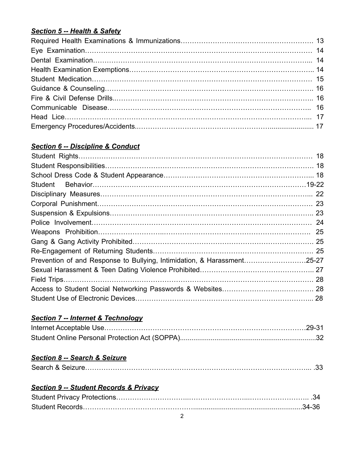#### *Section 5 -- Health & Safety*

#### *Section 6 -- Discipline & Conduct*

| Student                                                                 |  |
|-------------------------------------------------------------------------|--|
|                                                                         |  |
|                                                                         |  |
|                                                                         |  |
|                                                                         |  |
|                                                                         |  |
|                                                                         |  |
|                                                                         |  |
| Prevention of and Response to Bullying, Intimidation, & Harassment25-27 |  |
|                                                                         |  |
|                                                                         |  |
|                                                                         |  |
|                                                                         |  |

#### *Section 7 -- Internet & Technology*

#### *Section 8 -- Search & Seizure*

|--|

#### *Section 9 -- Student Records & Privacy*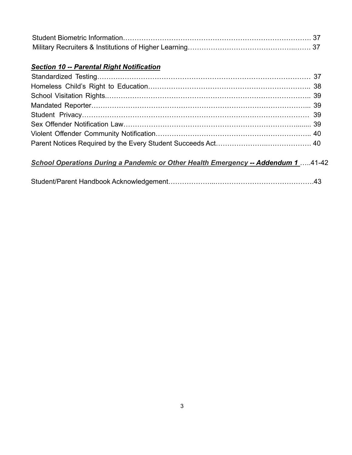#### *Section 10 -- Parental Right Notification*

## *School Operations During a Pandemic or Other Health Emergency -- Addendum 1* …..41-42

|--|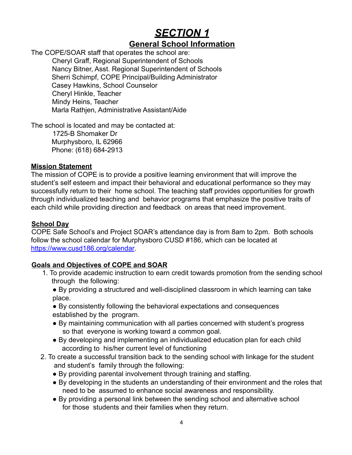## *SECTION 1* **General School Information**

## The COPE/SOAR staff that operates the school are:

Cheryl Graff, Regional Superintendent of Schools Nancy Bitner, Asst. Regional Superintendent of Schools Sherri Schimpf, COPE Principal/Building Administrator Casey Hawkins, School Counselor Cheryl Hinkle, Teacher Mindy Heins, Teacher Marla Rathjen, Administrative Assistant/Aide

The school is located and may be contacted at:

1725-B Shomaker Dr Murphysboro, IL 62966 Phone: (618) 684-2913

#### **Mission Statement**

The mission of COPE is to provide a positive learning environment that will improve the student's self esteem and impact their behavioral and educational performance so they may successfully return to their home school. The teaching staff provides opportunities for growth through individualized teaching and behavior programs that emphasize the positive traits of each child while providing direction and feedback on areas that need improvement.

#### **School Day**

COPE Safe School's and Project SOAR's attendance day is from 8am to 2pm. Both schools follow the school calendar for Murphysboro CUSD #186, which can be located at https://www.cusd186.org/calendar.

#### **Goals and Objectives of COPE and SOAR**

- 1. To provide academic instruction to earn credit towards promotion from the sending school through the following:
	- By providing a structured and well-disciplined classroom in which learning can take place.

● By consistently following the behavioral expectations and consequences established by the program.

- By maintaining communication with all parties concerned with student's progress so that everyone is working toward a common goal.
- By developing and implementing an individualized education plan for each child according to his/her current level of functioning
- 2. To create a successful transition back to the sending school with linkage for the student and student's family through the following:
	- By providing parental involvement through training and staffing.
	- By developing in the students an understanding of their environment and the roles that need to be assumed to enhance social awareness and responsibility.
	- By providing a personal link between the sending school and alternative school for those students and their families when they return.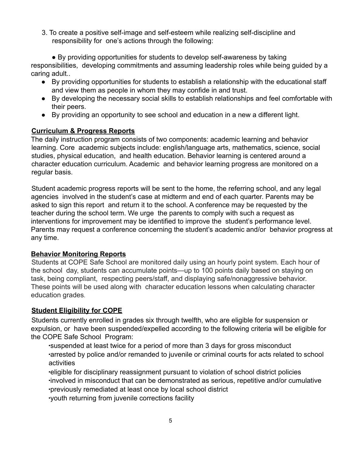3. To create a positive self-image and self-esteem while realizing self-discipline and responsibility for one's actions through the following:

● By providing opportunities for students to develop self-awareness by taking responsibilities, developing commitments and assuming leadership roles while being guided by a caring adult..

- By providing opportunities for students to establish a relationship with the educational staff and view them as people in whom they may confide in and trust.
- By developing the necessary social skills to establish relationships and feel comfortable with their peers.
- By providing an opportunity to see school and education in a new a different light.

#### **Curriculum & Progress Reports**

The daily instruction program consists of two components: academic learning and behavior learning. Core academic subjects include: english/language arts, mathematics, science, social studies, physical education, and health education. Behavior learning is centered around a character education curriculum. Academic and behavior learning progress are monitored on a regular basis.

Student academic progress reports will be sent to the home, the referring school, and any legal agencies involved in the student's case at midterm and end of each quarter. Parents may be asked to sign this report and return it to the school. A conference may be requested by the teacher during the school term. We urge the parents to comply with such a request as interventions for improvement may be identified to improve the student's performance level. Parents may request a conference concerning the student's academic and/or behavior progress at any time.

#### **Behavior Monitoring Reports**

Students at COPE Safe School are monitored daily using an hourly point system. Each hour of the school day, students can accumulate points—up to 100 points daily based on staying on task, being compliant, respecting peers/staff, and displaying safe/nonaggressive behavior. These points will be used along with character education lessons when calculating character education grades.

#### **Student Eligibility for COPE**

Students currently enrolled in grades six through twelfth, who are eligible for suspension or expulsion, or have been suspended/expelled according to the following criteria will be eligible for the COPE Safe School Program:

∙suspended at least twice for a period of more than 3 days for gross misconduct ∙arrested by police and/or remanded to juvenile or criminal courts for acts related to school activities

∙eligible for disciplinary reassignment pursuant to violation of school district policies ∙involved in misconduct that can be demonstrated as serious, repetitive and/or cumulative ∙previously remediated at least once by local school district

∙youth returning from juvenile corrections facility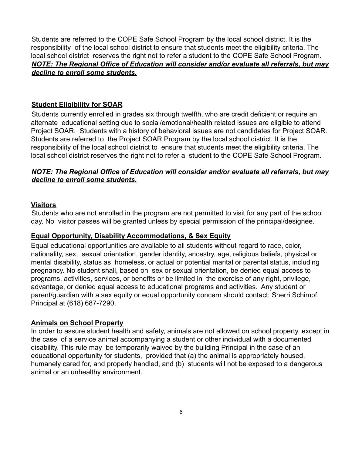Students are referred to the COPE Safe School Program by the local school district. It is the responsibility of the local school district to ensure that students meet the eligibility criteria. The local school district reserves the right not to refer a student to the COPE Safe School Program. *NOTE: The Regional Office of Education will consider and/or evaluate all referrals, but may decline to enroll some students.*

#### **Student Eligibility for SOAR**

Students currently enrolled in grades six through twelfth, who are credit deficient or require an alternate educational setting due to social/emotional/health related issues are eligible to attend Project SOAR. Students with a history of behavioral issues are not candidates for Project SOAR. Students are referred to the Project SOAR Program by the local school district. It is the responsibility of the local school district to ensure that students meet the eligibility criteria. The local school district reserves the right not to refer a student to the COPE Safe School Program.

#### *NOTE: The Regional Office of Education will consider and/or evaluate all referrals, but may decline to enroll some students.*

#### **Visitors**

Students who are not enrolled in the program are not permitted to visit for any part of the school day. No visitor passes will be granted unless by special permission of the principal/designee.

#### **Equal Opportunity, Disability Accommodations, & Sex Equity**

Equal educational opportunities are available to all students without regard to race, color, nationality, sex, sexual orientation, gender identity, ancestry, age, religious beliefs, physical or mental disability, status as homeless, or actual or potential marital or parental status, including pregnancy. No student shall, based on sex or sexual orientation, be denied equal access to programs, activities, services, or benefits or be limited in the exercise of any right, privilege, advantage, or denied equal access to educational programs and activities. Any student or parent/guardian with a sex equity or equal opportunity concern should contact: Sherri Schimpf, Principal at (618) 687-7290.

#### **Animals on School Property**

In order to assure student health and safety, animals are not allowed on school property, except in the case of a service animal accompanying a student or other individual with a documented disability. This rule may be temporarily waived by the building Principal in the case of an educational opportunity for students, provided that (a) the animal is appropriately housed, humanely cared for, and properly handled, and (b) students will not be exposed to a dangerous animal or an unhealthy environment.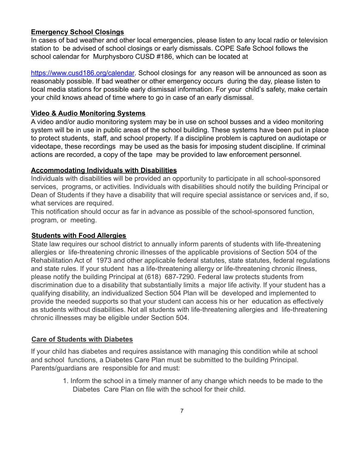#### **Emergency School Closings**

In cases of bad weather and other local emergencies, please listen to any local radio or television station to be advised of school closings or early dismissals. COPE Safe School follows the school calendar for Murphysboro CUSD #186, which can be located at

https://www.cusd186.org/calendar. School closings for any reason will be announced as soon as reasonably possible. If bad weather or other emergency occurs during the day, please listen to local media stations for possible early dismissal information. For your child's safety, make certain your child knows ahead of time where to go in case of an early dismissal.

#### **Video & Audio Monitoring Systems**

A video and/or audio monitoring system may be in use on school busses and a video monitoring system will be in use in public areas of the school building. These systems have been put in place to protect students, staff, and school property. If a discipline problem is captured on audiotape or videotape, these recordings may be used as the basis for imposing student discipline. If criminal actions are recorded, a copy of the tape may be provided to law enforcement personnel.

#### **Accommodating Individuals with Disabilities**

Individuals with disabilities will be provided an opportunity to participate in all school-sponsored services, programs, or activities. Individuals with disabilities should notify the building Principal or Dean of Students if they have a disability that will require special assistance or services and, if so, what services are required.

This notification should occur as far in advance as possible of the school-sponsored function, program, or meeting.

#### **Students with Food Allergies**

State law requires our school district to annually inform parents of students with life-threatening allergies or life-threatening chronic illnesses of the applicable provisions of Section 504 of the Rehabilitation Act of 1973 and other applicable federal statutes, state statutes, federal regulations and state rules. If your student has a life-threatening allergy or life-threatening chronic illness, please notify the building Principal at (618) 687-7290. Federal law protects students from discrimination due to a disability that substantially limits a major life activity. If your student has a qualifying disability, an individualized Section 504 Plan will be developed and implemented to provide the needed supports so that your student can access his or her education as effectively as students without disabilities. Not all students with life-threatening allergies and life-threatening chronic illnesses may be eligible under Section 504.

#### **Care of Students with Diabetes**

If your child has diabetes and requires assistance with managing this condition while at school and school functions, a Diabetes Care Plan must be submitted to the building Principal. Parents/guardians are responsible for and must:

> 1. Inform the school in a timely manner of any change which needs to be made to the Diabetes Care Plan on file with the school for their child.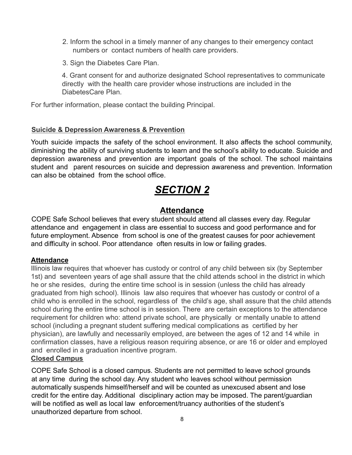- 2. Inform the school in a timely manner of any changes to their emergency contact numbers or contact numbers of health care providers.
- 3. Sign the Diabetes Care Plan.

4. Grant consent for and authorize designated School representatives to communicate directly with the health care provider whose instructions are included in the DiabetesCare Plan.

For further information, please contact the building Principal.

#### **Suicide & Depression Awareness & Prevention**

Youth suicide impacts the safety of the school environment. It also affects the school community, diminishing the ability of surviving students to learn and the school's ability to educate. Suicide and depression awareness and prevention are important goals of the school. The school maintains student and parent resources on suicide and depression awareness and prevention. Information can also be obtained from the school office.

## *SECTION 2*

#### **Attendance**

COPE Safe School believes that every student should attend all classes every day. Regular attendance and engagement in class are essential to success and good performance and for future employment. Absence from school is one of the greatest causes for poor achievement and difficulty in school. Poor attendance often results in low or failing grades.

#### **Attendance**

Illinois law requires that whoever has custody or control of any child between six (by September 1st) and seventeen years of age shall assure that the child attends school in the district in which he or she resides, during the entire time school is in session (unless the child has already graduated from high school). Illinois law also requires that whoever has custody or control of a child who is enrolled in the school, regardless of the child's age, shall assure that the child attends school during the entire time school is in session. There are certain exceptions to the attendance requirement for children who: attend private school, are physically or mentally unable to attend school (including a pregnant student suffering medical complications as certified by her physician), are lawfully and necessarily employed, are between the ages of 12 and 14 while in confirmation classes, have a religious reason requiring absence, or are 16 or older and employed and enrolled in a graduation incentive program.

#### **Closed Campus**

COPE Safe School is a closed campus. Students are not permitted to leave school grounds at any time during the school day. Any student who leaves school without permission automatically suspends himself/herself and will be counted as unexcused absent and lose credit for the entire day. Additional disciplinary action may be imposed. The parent/guardian will be notified as well as local law enforcement/truancy authorities of the student's unauthorized departure from school.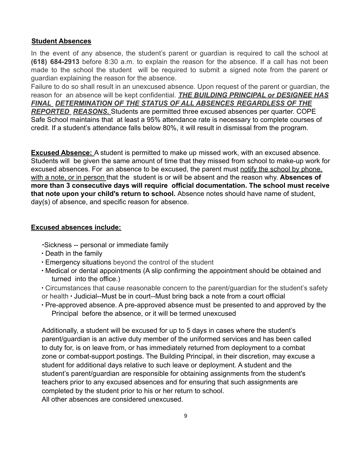#### **Student Absences**

In the event of any absence, the student's parent or guardian is required to call the school at **(618) 684-2913** before 8:30 a.m. to explain the reason for the absence. If a call has not been made to the school the student will be required to submit a signed note from the parent or guardian explaining the reason for the absence.

Failure to do so shall result in an unexcused absence. Upon request of the parent or guardian, the reason for an absence will be kept confidential. *THE BUILDING PRINCIPAL or DESIGNEE HAS FINAL DETERMINATION OF THE STATUS OF ALL ABSENCES REGARDLESS OF THE REPORTED REASONS.* Students are permitted three excused absences per quarter. COPE Safe School maintains that at least a 95% attendance rate is necessary to complete courses of credit. If a student's attendance falls below 80%, it will result in dismissal from the program.

**Excused Absence:** A student is permitted to make up missed work, with an excused absence. Students will be given the same amount of time that they missed from school to make-up work for excused absences. For an absence to be excused, the parent must notify the school by phone, with a note, or in person that the student is or will be absent and the reason why. **Absences of more than 3 consecutive days will require official documentation. The school must receive that note upon your child's return to school.** Absence notes should have name of student, day(s) of absence, and specific reason for absence.

#### **Excused absences include:**

∙Sickness -- personal or immediate family

- ∙ Death in the family
- ∙ Emergency situations beyond the control of the student
- ∙ Medical or dental appointments (A slip confirming the appointment should be obtained and turned into the office.)
- ∙ Circumstances that cause reasonable concern to the parent/guardian for the student's safety or health ∙ Judicial--Must be in court--Must bring back a note from a court official
- ∙ Pre-approved absence. A pre-approved absence must be presented to and approved by the Principal before the absence, or it will be termed unexcused

Additionally, a student will be excused for up to 5 days in cases where the student's parent/guardian is an active duty member of the uniformed services and has been called to duty for, is on leave from, or has immediately returned from deployment to a combat zone or combat-support postings. The Building Principal, in their discretion, may excuse a student for additional days relative to such leave or deployment. A student and the student's parent/guardian are responsible for obtaining assignments from the student's teachers prior to any excused absences and for ensuring that such assignments are completed by the student prior to his or her return to school. All other absences are considered unexcused.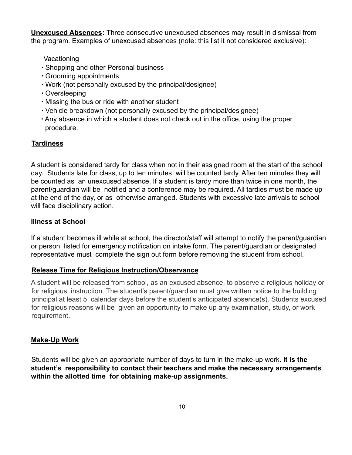**Unexcused Absences:** Three consecutive unexcused absences may result in dismissal from the program. Examples of unexcused absences (note: this list it not considered exclusive):

Vacationing

- ∙ Shopping and other Personal business
- ∙ Grooming appointments
- ∙ Work (not personally excused by the principal/designee)
- ∙ Oversleeping
- ∙ Missing the bus or ride with another student
- ∙ Vehicle breakdown (not personally excused by the principal/designee)
- ∙ Any absence in which a student does not check out in the office, using the proper procedure.

#### **Tardiness**

A student is considered tardy for class when not in their assigned room at the start of the school day. Students late for class, up to ten minutes, will be counted tardy. After ten minutes they will be counted as an unexcused absence. If a student is tardy more than twice in one month, the parent/guardian will be notified and a conference may be required. All tardies must be made up at the end of the day, or as otherwise arranged. Students with excessive late arrivals to school will face disciplinary action.

#### **Illness at School**

If a student becomes ill while at school, the director/staff will attempt to notify the parent/guardian or person listed for emergency notification on intake form. The parent/guardian or designated representative must complete the sign out form before removing the student from school.

#### **Release Time for Religious Instruction/Observance**

A student will be released from school, as an excused absence, to observe a religious holiday or for religious instruction. The student's parent/guardian must give written notice to the building principal at least 5 calendar days before the student's anticipated absence(s). Students excused for religious reasons will be given an opportunity to make up any examination, study, or work requirement.

#### **Make-Up Work**

Students will be given an appropriate number of days to turn in the make-up work. **It is the student's responsibility to contact their teachers and make the necessary arrangements within the allotted time for obtaining make-up assignments.**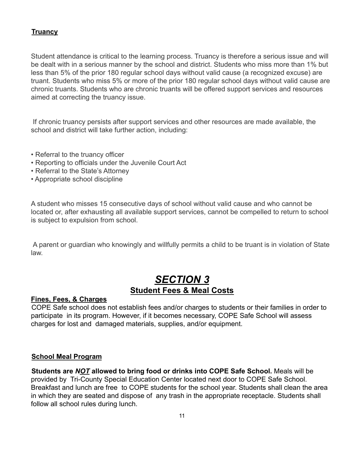#### **Truancy**

Student attendance is critical to the learning process. Truancy is therefore a serious issue and will be dealt with in a serious manner by the school and district. Students who miss more than 1% but less than 5% of the prior 180 regular school days without valid cause (a recognized excuse) are truant. Students who miss 5% or more of the prior 180 regular school days without valid cause are chronic truants. Students who are chronic truants will be offered support services and resources aimed at correcting the truancy issue.

If chronic truancy persists after support services and other resources are made available, the school and district will take further action, including:

- Referral to the truancy officer
- Reporting to officials under the Juvenile Court Act
- Referral to the State's Attorney
- Appropriate school discipline

A student who misses 15 consecutive days of school without valid cause and who cannot be located or, after exhausting all available support services, cannot be compelled to return to school is subject to expulsion from school.

A parent or guardian who knowingly and willfully permits a child to be truant is in violation of State law.

## *SECTION 3* **Student Fees & Meal Costs**

#### **Fines, Fees, & Charges**

COPE Safe school does not establish fees and/or charges to students or their families in order to participate in its program. However, if it becomes necessary, COPE Safe School will assess charges for lost and damaged materials, supplies, and/or equipment.

#### **School Meal Program**

**Students are** *NOT* **allowed to bring food or drinks into COPE Safe School.** Meals will be provided by Tri-County Special Education Center located next door to COPE Safe School. Breakfast and lunch are free to COPE students for the school year. Students shall clean the area in which they are seated and dispose of any trash in the appropriate receptacle. Students shall follow all school rules during lunch.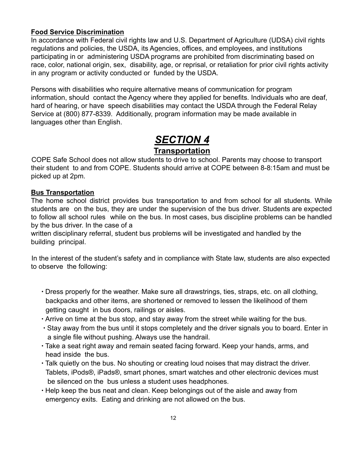#### **Food Service Discrimination**

In accordance with Federal civil rights law and U.S. Department of Agriculture (UDSA) civil rights regulations and policies, the USDA, its Agencies, offices, and employees, and institutions participating in or administering USDA programs are prohibited from discriminating based on race, color, national origin, sex, disability, age, or reprisal, or retaliation for prior civil rights activity in any program or activity conducted or funded by the USDA.

Persons with disabilities who require alternative means of communication for program information, should contact the Agency where they applied for benefits. Individuals who are deaf, hard of hearing, or have speech disabilities may contact the USDA through the Federal Relay Service at (800) 877-8339. Additionally, program information may be made available in languages other than English.

## *SECTION 4*

#### **Transportation**

COPE Safe School does not allow students to drive to school. Parents may choose to transport their student to and from COPE. Students should arrive at COPE between 8-8:15am and must be picked up at 2pm.

#### **Bus Transportation**

The home school district provides bus transportation to and from school for all students. While students are on the bus, they are under the supervision of the bus driver. Students are expected to follow all school rules while on the bus. In most cases, bus discipline problems can be handled by the bus driver. In the case of a

written disciplinary referral, student bus problems will be investigated and handled by the building principal.

In the interest of the student's safety and in compliance with State law, students are also expected to observe the following:

- ∙ Dress properly for the weather. Make sure all drawstrings, ties, straps, etc. on all clothing, backpacks and other items, are shortened or removed to lessen the likelihood of them getting caught in bus doors, railings or aisles.
- ∙ Arrive on time at the bus stop, and stay away from the street while waiting for the bus.
- ∙ Stay away from the bus until it stops completely and the driver signals you to board. Enter in a single file without pushing. Always use the handrail.
- ∙ Take a seat right away and remain seated facing forward. Keep your hands, arms, and head inside the bus.
- ∙ Talk quietly on the bus. No shouting or creating loud noises that may distract the driver. Tablets, iPods®, iPads®, smart phones, smart watches and other electronic devices must be silenced on the bus unless a student uses headphones.
- ∙ Help keep the bus neat and clean. Keep belongings out of the aisle and away from emergency exits. Eating and drinking are not allowed on the bus.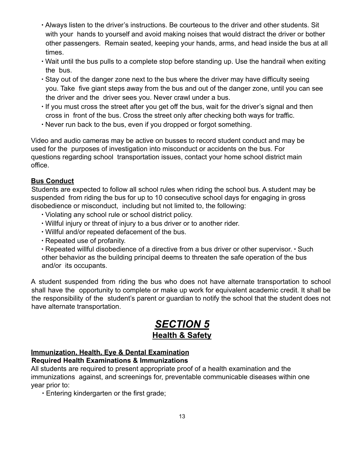- ∙ Always listen to the driver's instructions. Be courteous to the driver and other students. Sit with your hands to yourself and avoid making noises that would distract the driver or bother other passengers. Remain seated, keeping your hands, arms, and head inside the bus at all times.
- ∙ Wait until the bus pulls to a complete stop before standing up. Use the handrail when exiting the bus.
- ∙ Stay out of the danger zone next to the bus where the driver may have difficulty seeing you. Take five giant steps away from the bus and out of the danger zone, until you can see the driver and the driver sees you. Never crawl under a bus.
- ∙ If you must cross the street after you get off the bus, wait for the driver's signal and then cross in front of the bus. Cross the street only after checking both ways for traffic.
- ∙ Never run back to the bus, even if you dropped or forgot something.

Video and audio cameras may be active on busses to record student conduct and may be used for the purposes of investigation into misconduct or accidents on the bus. For questions regarding school transportation issues, contact your home school district main office.

#### **Bus Conduct**

Students are expected to follow all school rules when riding the school bus. A student may be suspended from riding the bus for up to 10 consecutive school days for engaging in gross disobedience or misconduct, including but not limited to, the following:

- ∙ Violating any school rule or school district policy.
- ∙ Willful injury or threat of injury to a bus driver or to another rider.
- ∙ Willful and/or repeated defacement of the bus.
- ∙ Repeated use of profanity.

∙ Repeated willful disobedience of a directive from a bus driver or other supervisor. ∙ Such other behavior as the building principal deems to threaten the safe operation of the bus and/or its occupants.

A student suspended from riding the bus who does not have alternate transportation to school shall have the opportunity to complete or make up work for equivalent academic credit. It shall be the responsibility of the student's parent or guardian to notify the school that the student does not have alternate transportation.

## *SECTION 5* **Health & Safety**

### **Immunization, Health, Eye & Dental Examination**

**Required Health Examinations & Immunizations**

All students are required to present appropriate proof of a health examination and the immunizations against, and screenings for, preventable communicable diseases within one year prior to:

∙ Entering kindergarten or the first grade;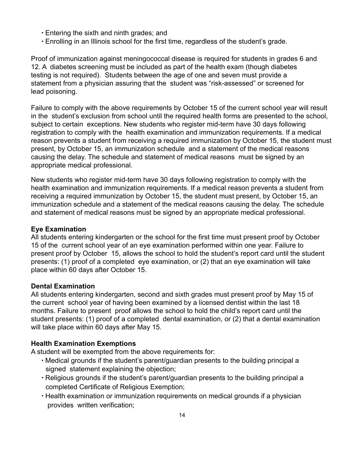- ∙ Entering the sixth and ninth grades; and
- ∙ Enrolling in an Illinois school for the first time, regardless of the student's grade.

Proof of immunization against meningococcal disease is required for students in grades 6 and 12. A diabetes screening must be included as part of the health exam (though diabetes testing is not required). Students between the age of one and seven must provide a statement from a physician assuring that the student was "risk-assessed" or screened for lead poisoning.

Failure to comply with the above requirements by October 15 of the current school year will result in the student's exclusion from school until the required health forms are presented to the school, subject to certain exceptions. New students who register mid-term have 30 days following registration to comply with the health examination and immunization requirements. If a medical reason prevents a student from receiving a required immunization by October 15, the student must present, by October 15, an immunization schedule and a statement of the medical reasons causing the delay. The schedule and statement of medical reasons must be signed by an appropriate medical professional.

New students who register mid-term have 30 days following registration to comply with the health examination and immunization requirements. If a medical reason prevents a student from receiving a required immunization by October 15, the student must present, by October 15, an immunization schedule and a statement of the medical reasons causing the delay. The schedule and statement of medical reasons must be signed by an appropriate medical professional.

#### **Eye Examination**

All students entering kindergarten or the school for the first time must present proof by October 15 of the current school year of an eye examination performed within one year. Failure to present proof by October 15, allows the school to hold the student's report card until the student presents: (1) proof of a completed eye examination, or (2) that an eye examination will take place within 60 days after October 15.

#### **Dental Examination**

All students entering kindergarten, second and sixth grades must present proof by May 15 of the current school year of having been examined by a licensed dentist within the last 18 months. Failure to present proof allows the school to hold the child's report card until the student presents: (1) proof of a completed dental examination, or (2) that a dental examination will take place within 60 days after May 15.

#### **Health Examination Exemptions**

A student will be exempted from the above requirements for:

- ∙ Medical grounds if the student's parent/guardian presents to the building principal a signed statement explaining the objection;
- ∙ Religious grounds if the student's parent/guardian presents to the building principal a completed Certificate of Religious Exemption;
- ∙ Health examination or immunization requirements on medical grounds if a physician provides written verification;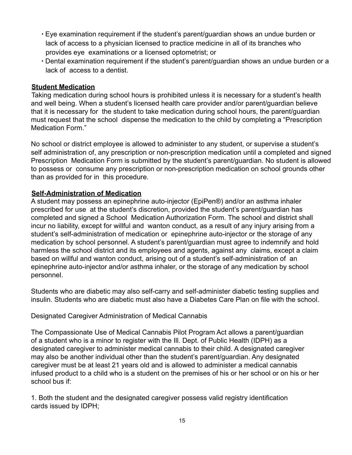- ∙ Eye examination requirement if the student's parent/guardian shows an undue burden or lack of access to a physician licensed to practice medicine in all of its branches who provides eye examinations or a licensed optometrist; or
- ∙ Dental examination requirement if the student's parent/guardian shows an undue burden or a lack of access to a dentist.

#### **Student Medication**

Taking medication during school hours is prohibited unless it is necessary for a student's health and well being. When a student's licensed health care provider and/or parent/guardian believe that it is necessary for the student to take medication during school hours, the parent/guardian must request that the school dispense the medication to the child by completing a "Prescription Medication Form."

No school or district employee is allowed to administer to any student, or supervise a student's self administration of, any prescription or non-prescription medication until a completed and signed Prescription Medication Form is submitted by the student's parent/guardian. No student is allowed to possess or consume any prescription or non-prescription medication on school grounds other than as provided for in this procedure.

#### **Self-Administration of Medication**

A student may possess an epinephrine auto-injector (EpiPen®) and/or an asthma inhaler prescribed for use at the student's discretion, provided the student's parent/guardian has completed and signed a School Medication Authorization Form. The school and district shall incur no liability, except for willful and wanton conduct, as a result of any injury arising from a student's self-administration of medication or epinephrine auto-injector or the storage of any medication by school personnel. A student's parent/guardian must agree to indemnify and hold harmless the school district and its employees and agents, against any claims, except a claim based on willful and wanton conduct, arising out of a student's self-administration of an epinephrine auto-injector and/or asthma inhaler, or the storage of any medication by school personnel.

Students who are diabetic may also self-carry and self-administer diabetic testing supplies and insulin. Students who are diabetic must also have a Diabetes Care Plan on file with the school.

Designated Caregiver Administration of Medical Cannabis

The Compassionate Use of Medical Cannabis Pilot Program Act allows a parent/guardian of a student who is a minor to register with the Ill. Dept. of Public Health (IDPH) as a designated caregiver to administer medical cannabis to their child. A designated caregiver may also be another individual other than the student's parent/guardian. Any designated caregiver must be at least 21 years old and is allowed to administer a medical cannabis infused product to a child who is a student on the premises of his or her school or on his or her school bus if:

1. Both the student and the designated caregiver possess valid registry identification cards issued by IDPH;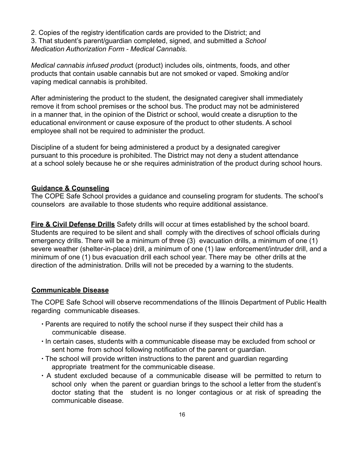2. Copies of the registry identification cards are provided to the District; and 3. That student's parent/guardian completed, signed, and submitted a *School Medication Authorization Form - Medical Cannabis.*

*Medical cannabis infused produc*t (product) includes oils, ointments, foods, and other products that contain usable cannabis but are not smoked or vaped. Smoking and/or vaping medical cannabis is prohibited.

After administering the product to the student, the designated caregiver shall immediately remove it from school premises or the school bus. The product may not be administered in a manner that, in the opinion of the District or school, would create a disruption to the educational environment or cause exposure of the product to other students. A school employee shall not be required to administer the product.

Discipline of a student for being administered a product by a designated caregiver pursuant to this procedure is prohibited. The District may not deny a student attendance at a school solely because he or she requires administration of the product during school hours.

#### **Guidance & Counseling**

The COPE Safe School provides a guidance and counseling program for students. The school's counselors are available to those students who require additional assistance.

**Fire & Civil Defense Drills** Safety drills will occur at times established by the school board. Students are required to be silent and shall comply with the directives of school officials during emergency drills. There will be a minimum of three (3) evacuation drills, a minimum of one (1) severe weather (shelter-in-place) drill, a minimum of one (1) law enforcement/intruder drill, and a minimum of one (1) bus evacuation drill each school year. There may be other drills at the direction of the administration. Drills will not be preceded by a warning to the students.

#### **Communicable Disease**

The COPE Safe School will observe recommendations of the Illinois Department of Public Health regarding communicable diseases.

- ∙ Parents are required to notify the school nurse if they suspect their child has a communicable disease.
- ∙ In certain cases, students with a communicable disease may be excluded from school or sent home from school following notification of the parent or guardian.
- ∙ The school will provide written instructions to the parent and guardian regarding appropriate treatment for the communicable disease.
- ∙ A student excluded because of a communicable disease will be permitted to return to school only when the parent or guardian brings to the school a letter from the student's doctor stating that the student is no longer contagious or at risk of spreading the communicable disease.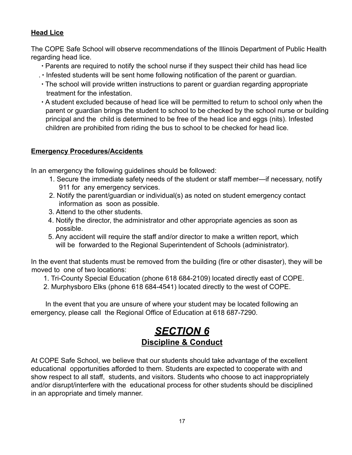#### **Head Lice**

The COPE Safe School will observe recommendations of the Illinois Department of Public Health regarding head lice.

- ∙ Parents are required to notify the school nurse if they suspect their child has head lice
- . ∙ Infested students will be sent home following notification of the parent or guardian.
- ∙ The school will provide written instructions to parent or guardian regarding appropriate treatment for the infestation.
- ∙ A student excluded because of head lice will be permitted to return to school only when the parent or guardian brings the student to school to be checked by the school nurse or building principal and the child is determined to be free of the head lice and eggs (nits). Infested children are prohibited from riding the bus to school to be checked for head lice.

#### **Emergency Procedures/Accidents**

In an emergency the following guidelines should be followed:

- 1. Secure the immediate safety needs of the student or staff member—if necessary, notify 911 for any emergency services.
- 2. Notify the parent/guardian or individual(s) as noted on student emergency contact information as soon as possible.
- 3. Attend to the other students.
- 4. Notify the director, the administrator and other appropriate agencies as soon as possible.
- 5. Any accident will require the staff and/or director to make a written report, which will be forwarded to the Regional Superintendent of Schools (administrator).

In the event that students must be removed from the building (fire or other disaster), they will be moved to one of two locations:

- 1. Tri-County Special Education (phone 618 684-2109) located directly east of COPE.
- 2. Murphysboro Elks (phone 618 684-4541) located directly to the west of COPE.

In the event that you are unsure of where your student may be located following an emergency, please call the Regional Office of Education at 618 687-7290.

## *SECTION 6* **Discipline & Conduct**

At COPE Safe School, we believe that our students should take advantage of the excellent educational opportunities afforded to them. Students are expected to cooperate with and show respect to all staff, students, and visitors. Students who choose to act inappropriately and/or disrupt/interfere with the educational process for other students should be disciplined in an appropriate and timely manner.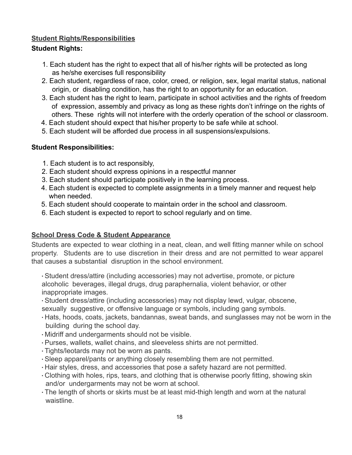#### **Student Rights/Responsibilities**

#### **Student Rights:**

- 1. Each student has the right to expect that all of his/her rights will be protected as long as he/she exercises full responsibility
- 2. Each student, regardless of race, color, creed, or religion, sex, legal marital status, national origin, or disabling condition, has the right to an opportunity for an education.
- 3. Each student has the right to learn, participate in school activities and the rights of freedom of expression, assembly and privacy as long as these rights don't infringe on the rights of others. These rights will not interfere with the orderly operation of the school or classroom.
- 4. Each student should expect that his/her property to be safe while at school.
- 5. Each student will be afforded due process in all suspensions/expulsions.

#### **Student Responsibilities:**

- 1. Each student is to act responsibly,
- 2. Each student should express opinions in a respectful manner
- 3. Each student should participate positively in the learning process.
- 4. Each student is expected to complete assignments in a timely manner and request help when needed.
- 5. Each student should cooperate to maintain order in the school and classroom.
- 6. Each student is expected to report to school regularly and on time.

#### **School Dress Code & Student Appearance**

Students are expected to wear clothing in a neat, clean, and well fitting manner while on school property. Students are to use discretion in their dress and are not permitted to wear apparel that causes a substantial disruption in the school environment.

∙ Student dress/attire (including accessories) may not advertise, promote, or picture alcoholic beverages, illegal drugs, drug paraphernalia, violent behavior, or other inappropriate images.

∙ Student dress/attire (including accessories) may not display lewd, vulgar, obscene, sexually suggestive, or offensive language or symbols, including gang symbols.

- ∙ Hats, hoods, coats, jackets, bandannas, sweat bands, and sunglasses may not be worn in the building during the school day.
- ∙ Midriff and undergarments should not be visible.
- ∙ Purses, wallets, wallet chains, and sleeveless shirts are not permitted.
- ∙ Tights/leotards may not be worn as pants.
- ∙ Sleep apparel/pants or anything closely resembling them are not permitted.
- ∙ Hair styles, dress, and accessories that pose a safety hazard are not permitted.
- ∙ Clothing with holes, rips, tears, and clothing that is otherwise poorly fitting, showing skin and/or undergarments may not be worn at school.
- ∙ The length of shorts or skirts must be at least mid-thigh length and worn at the natural waistline.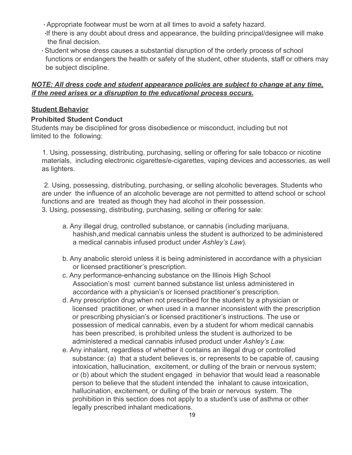∙ Appropriate footwear must be worn at all times to avoid a safety hazard.

- ∙If there is any doubt about dress and appearance, the building principal/designee will make the final decision.
- ∙ Student whose dress causes a substantial disruption of the orderly process of school functions or endangers the health or safety of the student, other students, staff or others may be subject discipline.

#### *NOTE: All dress code and student appearance policies are subject to change at any time, if the need arises or a disruption to the educational process occurs.*

#### **Student Behavior**

#### **Prohibited Student Conduct**

Students may be disciplined for gross disobedience or misconduct, including but not limited to the following:

1. Using, possessing, distributing, purchasing, selling or offering for sale tobacco or nicotine materials, including electronic cigarettes/e-cigarettes, vaping devices and accessories, as well as lighters.

2. Using, possessing, distributing, purchasing, or selling alcoholic beverages. Students who are under the influence of an alcoholic beverage are not permitted to attend school or school functions and are treated as though they had alcohol in their possession. 3. Using, possessing, distributing, purchasing, selling or offering for sale:

- a. Any illegal drug, controlled substance, or cannabis (including marijuana, hashish,and medical cannabis unless the student is authorized to be administered a medical cannabis infused product under *Ashley's Law*).
- b. Any anabolic steroid unless it is being administered in accordance with a physician or licensed practitioner's prescription.
- c. Any performance-enhancing substance on the Illinois High School Association's most current banned substance list unless administered in accordance with a physician's or licensed practitioner's prescription.
- d. Any prescription drug when not prescribed for the student by a physician or licensed practitioner, or when used in a manner inconsistent with the prescription or prescribing physician's or licensed practitioner's instructions. The use or possession of medical cannabis, even by a student for whom medical cannabis has been prescribed, is prohibited unless the student is authorized to be administered a medical cannabis infused product under *Ashley's Law.*
- e. Any inhalant, regardless of whether it contains an illegal drug or controlled substance: (a) that a student believes is, or represents to be capable of, causing intoxication, hallucination, excitement, or dulling of the brain or nervous system; or (b) about which the student engaged in behavior that would lead a reasonable person to believe that the student intended the inhalant to cause intoxication, hallucination, excitement, or dulling of the brain or nervous system. The prohibition in this section does not apply to a student's use of asthma or other legally prescribed inhalant medications.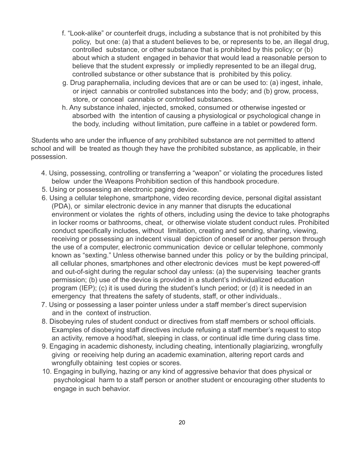- f. "Look-alike" or counterfeit drugs, including a substance that is not prohibited by this policy, but one: (a) that a student believes to be, or represents to be, an illegal drug, controlled substance, or other substance that is prohibited by this policy; or (b) about which a student engaged in behavior that would lead a reasonable person to believe that the student expressly or impliedly represented to be an illegal drug, controlled substance or other substance that is prohibited by this policy.
- g. Drug paraphernalia, including devices that are or can be used to: (a) ingest, inhale, or inject cannabis or controlled substances into the body; and (b) grow, process, store, or conceal cannabis or controlled substances.
- h. Any substance inhaled, injected, smoked, consumed or otherwise ingested or absorbed with the intention of causing a physiological or psychological change in the body, including without limitation, pure caffeine in a tablet or powdered form.

Students who are under the influence of any prohibited substance are not permitted to attend school and will be treated as though they have the prohibited substance, as applicable, in their possession.

- 4. Using, possessing, controlling or transferring a "weapon" or violating the procedures listed below under the Weapons Prohibition section of this handbook procedure.
- 5. Using or possessing an electronic paging device.
- 6. Using a cellular telephone, smartphone, video recording device, personal digital assistant (PDA), or similar electronic device in any manner that disrupts the educational environment or violates the rights of others, including using the device to take photographs in locker rooms or bathrooms, cheat, or otherwise violate student conduct rules. Prohibited conduct specifically includes, without limitation, creating and sending, sharing, viewing, receiving or possessing an indecent visual depiction of oneself or another person through the use of a computer, electronic communication device or cellular telephone, commonly known as "sexting." Unless otherwise banned under this policy or by the building principal, all cellular phones, smartphones and other electronic devices must be kept powered-off and out-of-sight during the regular school day unless: (a) the supervising teacher grants permission; (b) use of the device is provided in a student's individualized education program (IEP); (c) it is used during the student's lunch period; or (d) it is needed in an emergency that threatens the safety of students, staff, or other individuals..
- 7. Using or possessing a laser pointer unless under a staff member's direct supervision and in the context of instruction.
- 8. Disobeying rules of student conduct or directives from staff members or school officials. Examples of disobeying staff directives include refusing a staff member's request to stop an activity, remove a hood/hat, sleeping in class, or continual idle time during class time.
- 9. Engaging in academic dishonesty, including cheating, intentionally plagiarizing, wrongfully giving or receiving help during an academic examination, altering report cards and wrongfully obtaining test copies or scores.
- 10. Engaging in bullying, hazing or any kind of aggressive behavior that does physical or psychological harm to a staff person or another student or encouraging other students to engage in such behavior.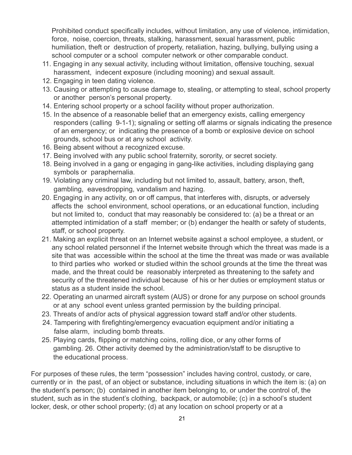Prohibited conduct specifically includes, without limitation, any use of violence, intimidation, force, noise, coercion, threats, stalking, harassment, sexual harassment, public humiliation, theft or destruction of property, retaliation, hazing, bullying, bullying using a school computer or a school computer network or other comparable conduct.

- 11. Engaging in any sexual activity, including without limitation, offensive touching, sexual harassment, indecent exposure (including mooning) and sexual assault.
- 12. Engaging in teen dating violence.
- 13. Causing or attempting to cause damage to, stealing, or attempting to steal, school property or another person's personal property.
- 14. Entering school property or a school facility without proper authorization.
- 15. In the absence of a reasonable belief that an emergency exists, calling emergency responders (calling 9-1-1); signaling or setting off alarms or signals indicating the presence of an emergency; or indicating the presence of a bomb or explosive device on school grounds, school bus or at any school activity.
- 16. Being absent without a recognized excuse.
- 17. Being involved with any public school fraternity, sorority, or secret society.
- 18. Being involved in a gang or engaging in gang-like activities, including displaying gang symbols or paraphernalia.
- 19. Violating any criminal law, including but not limited to, assault, battery, arson, theft, gambling, eavesdropping, vandalism and hazing.
- 20. Engaging in any activity, on or off campus, that interferes with, disrupts, or adversely affects the school environment, school operations, or an educational function, including but not limited to, conduct that may reasonably be considered to: (a) be a threat or an attempted intimidation of a staff member; or (b) endanger the health or safety of students, staff, or school property.
- 21. Making an explicit threat on an Internet website against a school employee, a student, or any school related personnel if the Internet website through which the threat was made is a site that was accessible within the school at the time the threat was made or was available to third parties who worked or studied within the school grounds at the time the threat was made, and the threat could be reasonably interpreted as threatening to the safety and security of the threatened individual because of his or her duties or employment status or status as a student inside the school.
- 22. Operating an unarmed aircraft system (AUS) or drone for any purpose on school grounds or at any school event unless granted permission by the building principal.
- 23. Threats of and/or acts of physical aggression toward staff and/or other students.
- 24. Tampering with firefighting/emergency evacuation equipment and/or initiating a false alarm, including bomb threats.
- 25. Playing cards, flipping or matching coins, rolling dice, or any other forms of gambling. 26. Other activity deemed by the administration/staff to be disruptive to the educational process.

For purposes of these rules, the term "possession" includes having control, custody, or care, currently or in the past, of an object or substance, including situations in which the item is: (a) on the student's person; (b) contained in another item belonging to, or under the control of, the student, such as in the student's clothing, backpack, or automobile; (c) in a school's student locker, desk, or other school property; (d) at any location on school property or at a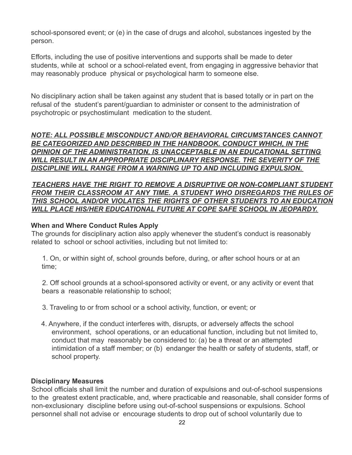school-sponsored event; or (e) in the case of drugs and alcohol, substances ingested by the person.

Efforts, including the use of positive interventions and supports shall be made to deter students, while at school or a school-related event, from engaging in aggressive behavior that may reasonably produce physical or psychological harm to someone else.

No disciplinary action shall be taken against any student that is based totally or in part on the refusal of the student's parent/guardian to administer or consent to the administration of psychotropic or psychostimulant medication to the student.

*NOTE: ALL POSSIBLE MISCONDUCT AND/OR BEHAVIORAL CIRCUMSTANCES CANNOT BE CATEGORIZED AND DESCRIBED IN THE HANDBOOK. CONDUCT WHICH, IN THE OPINION OF THE ADMINISTRATION, IS UNACCEPTABLE IN AN EDUCATIONAL SETTING WILL RESULT IN AN APPROPRIATE DISCIPLINARY RESPONSE. THE SEVERITY OF THE DISCIPLINE WILL RANGE FROM A WARNING UP TO AND INCLUDING EXPULSION.*

*TEACHERS HAVE THE RIGHT TO REMOVE A DISRUPTIVE OR NON-COMPLIANT STUDENT FROM THEIR CLASSROOM AT ANY TIME. A STUDENT WHO DISREGARDS THE RULES OF THIS SCHOOL AND/OR VIOLATES THE RIGHTS OF OTHER STUDENTS TO AN EDUCATION WILL PLACE HIS/HER EDUCATIONAL FUTURE AT COPE SAFE SCHOOL IN JEOPARDY.*

#### **When and Where Conduct Rules Apply**

The grounds for disciplinary action also apply whenever the student's conduct is reasonably related to school or school activities, including but not limited to:

1. On, or within sight of, school grounds before, during, or after school hours or at an time;

2. Off school grounds at a school-sponsored activity or event, or any activity or event that bears a reasonable relationship to school;

- 3. Traveling to or from school or a school activity, function, or event; or
- 4. Anywhere, if the conduct interferes with, disrupts, or adversely affects the school environment, school operations, or an educational function, including but not limited to, conduct that may reasonably be considered to: (a) be a threat or an attempted intimidation of a staff member; or (b) endanger the health or safety of students, staff, or school property.

#### **Disciplinary Measures**

School officials shall limit the number and duration of expulsions and out-of-school suspensions to the greatest extent practicable, and, where practicable and reasonable, shall consider forms of non-exclusionary discipline before using out-of-school suspensions or expulsions. School personnel shall not advise or encourage students to drop out of school voluntarily due to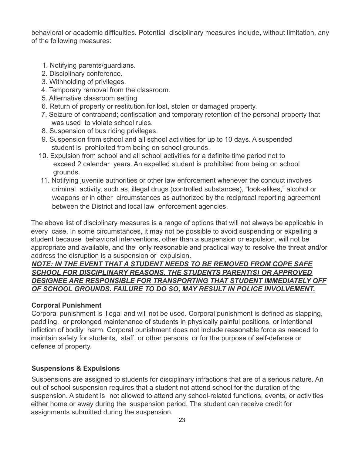behavioral or academic difficulties. Potential disciplinary measures include, without limitation, any of the following measures:

- 1. Notifying parents/guardians.
- 2. Disciplinary conference.
- 3. Withholding of privileges.
- 4. Temporary removal from the classroom.
- 5. Alternative classroom setting
- 6. Return of property or restitution for lost, stolen or damaged property.
- 7. Seizure of contraband; confiscation and temporary retention of the personal property that was used to violate school rules.
- 8. Suspension of bus riding privileges.
- 9. Suspension from school and all school activities for up to 10 days. A suspended student is prohibited from being on school grounds.
- 10. Expulsion from school and all school activities for a definite time period not to exceed 2 calendar years. An expelled student is prohibited from being on school grounds.
- 11. Notifying juvenile authorities or other law enforcement whenever the conduct involves criminal activity, such as, illegal drugs (controlled substances), "look-alikes," alcohol or weapons or in other circumstances as authorized by the reciprocal reporting agreement between the District and local law enforcement agencies.

The above list of disciplinary measures is a range of options that will not always be applicable in every case. In some circumstances, it may not be possible to avoid suspending or expelling a student because behavioral interventions, other than a suspension or expulsion, will not be appropriate and available, and the only reasonable and practical way to resolve the threat and/or address the disruption is a suspension or expulsion.

#### *NOTE: IN THE EVENT THAT A STUDENT NEEDS TO BE REMOVED FROM COPE SAFE SCHOOL FOR DISCIPLINARY REASONS, THE STUDENTS PARENT(S) OR APPROVED DESIGNEE ARE RESPONSIBLE FOR TRANSPORTING THAT STUDENT IMMEDIATELY OFF OF SCHOOL GROUNDS. FAILURE TO DO SO, MAY RESULT IN POLICE INVOLVEMENT.*

#### **Corporal Punishment**

Corporal punishment is illegal and will not be used. Corporal punishment is defined as slapping, paddling, or prolonged maintenance of students in physically painful positions, or intentional infliction of bodily harm. Corporal punishment does not include reasonable force as needed to maintain safety for students, staff, or other persons, or for the purpose of self-defense or defense of property.

#### **Suspensions & Expulsions**

Suspensions are assigned to students for disciplinary infractions that are of a serious nature. An out-of school suspension requires that a student not attend school for the duration of the suspension. A student is not allowed to attend any school-related functions, events, or activities either home or away during the suspension period. The student can receive credit for assignments submitted during the suspension.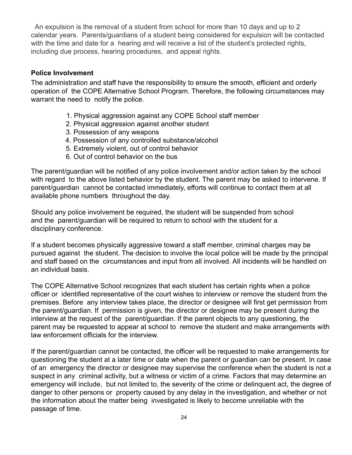An expulsion is the removal of a student from school for more than 10 days and up to 2 calendar years. Parents/guardians of a student being considered for expulsion will be contacted with the time and date for a hearing and will receive a list of the student's protected rights, including due process, hearing procedures, and appeal rights.

#### **Police Involvement**

The administration and staff have the responsibility to ensure the smooth, efficient and orderly operation of the COPE Alternative School Program. Therefore, the following circumstances may warrant the need to notify the police.

- 1. Physical aggression against any COPE School staff member
- 2. Physical aggression against another student
- 3. Possession of any weapons
- 4. Possession of any controlled substance/alcohol
- 5. Extremely violent, out of control behavior
- 6. Out of control behavior on the bus

The parent/guardian will be notified of any police involvement and/or action taken by the school with regard to the above listed behavior by the student. The parent may be asked to intervene. If parent/guardian cannot be contacted immediately, efforts will continue to contact them at all available phone numbers throughout the day.

Should any police involvement be required, the student will be suspended from school and the parent/guardian will be required to return to school with the student for a disciplinary conference.

If a student becomes physically aggressive toward a staff member, criminal charges may be pursued against the student. The decision to involve the local police will be made by the principal and staff based on the circumstances and input from all involved. All incidents will be handled on an individual basis.

The COPE Alternative School recognizes that each student has certain rights when a police officer or identified representative of the court wishes to interview or remove the student from the premises. Before any interview takes place, the director or designee will first get permission from the parent/guardian. If permission is given, the director or designee may be present during the interview at the request of the parent/guardian. If the parent objects to any questioning, the parent may be requested to appear at school to remove the student and make arrangements with law enforcement officials for the interview.

If the parent/guardian cannot be contacted, the officer will be requested to make arrangements for questioning the student at a later time or date when the parent or guardian can be present. In case of an emergency the director or designee may supervise the conference when the student is not a suspect in any criminal activity, but a witness or victim of a crime. Factors that may determine an emergency will include, but not limited to, the severity of the crime or delinquent act, the degree of danger to other persons or property caused by any delay in the investigation, and whether or not the information about the matter being investigated is likely to become unreliable with the passage of time.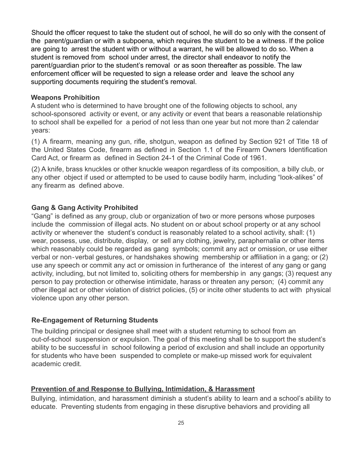Should the officer request to take the student out of school, he will do so only with the consent of the parent/guardian or with a subpoena, which requires the student to be a witness. If the police are going to arrest the student with or without a warrant, he will be allowed to do so. When a student is removed from school under arrest, the director shall endeavor to notify the parent/guardian prior to the student's removal or as soon thereafter as possible. The law enforcement officer will be requested to sign a release order and leave the school any supporting documents requiring the student's removal.

#### **Weapons Prohibition**

A student who is determined to have brought one of the following objects to school, any school-sponsored activity or event, or any activity or event that bears a reasonable relationship to school shall be expelled for a period of not less than one year but not more than 2 calendar years:

(1) A firearm, meaning any gun, rifle, shotgun, weapon as defined by Section 921 of Title 18 of the United States Code, firearm as defined in Section 1.1 of the Firearm Owners Identification Card Act, or firearm as defined in Section 24-1 of the Criminal Code of 1961.

(2) A knife, brass knuckles or other knuckle weapon regardless of its composition, a billy club, or any other object if used or attempted to be used to cause bodily harm, including "look-alikes" of any firearm as defined above.

#### **Gang & Gang Activity Prohibited**

"Gang" is defined as any group, club or organization of two or more persons whose purposes include the commission of illegal acts. No student on or about school property or at any school activity or whenever the student's conduct is reasonably related to a school activity, shall: (1) wear, possess, use, distribute, display, or sell any clothing, jewelry, paraphernalia or other items which reasonably could be regarded as gang symbols; commit any act or omission, or use either verbal or non‐verbal gestures, or handshakes showing membership or affiliation in a gang; or (2) use any speech or commit any act or omission in furtherance of the interest of any gang or gang activity, including, but not limited to, soliciting others for membership in any gangs; (3) request any person to pay protection or otherwise intimidate, harass or threaten any person; (4) commit any other illegal act or other violation of district policies, (5) or incite other students to act with physical violence upon any other person.

#### **Re-Engagement of Returning Students**

The building principal or designee shall meet with a student returning to school from an out-of-school suspension or expulsion. The goal of this meeting shall be to support the student's ability to be successful in school following a period of exclusion and shall include an opportunity for students who have been suspended to complete or make-up missed work for equivalent academic credit.

#### **Prevention of and Response to Bullying, Intimidation, & Harassment**

Bullying, intimidation, and harassment diminish a student's ability to learn and a school's ability to educate. Preventing students from engaging in these disruptive behaviors and providing all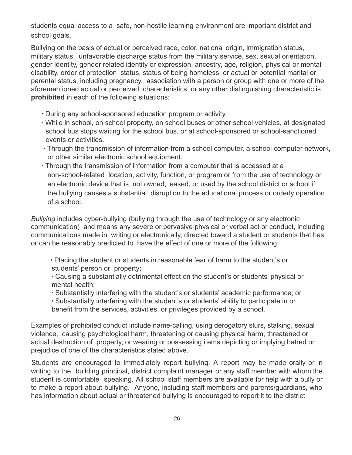students equal access to a safe, non-hostile learning environment are important district and school goals.

Bullying on the basis of actual or perceived race, color, national origin, immigration status, military status, unfavorable discharge status from the military service, sex, sexual orientation, gender identity, gender related identity or expression, ancestry, age, religion, physical or mental disability, order of protection status, status of being homeless, or actual or potential marital or parental status, including pregnancy, association with a person or group with one or more of the aforementioned actual or perceived characteristics, or any other distinguishing characteristic is **prohibited** in each of the following situations:

- ∙ During any school-sponsored education program or activity.
- ∙ While in school, on school property, on school buses or other school vehicles, at designated school bus stops waiting for the school bus, or at school-sponsored or school-sanctioned events or activities.
- ∙ Through the transmission of information from a school computer, a school computer network, or other similar electronic school equipment.
- ∙ Through the transmission of information from a computer that is accessed at a non-school-related location, activity, function, or program or from the use of technology or an electronic device that is not owned, leased, or used by the school district or school if the bullying causes a substantial disruption to the educational process or orderly operation of a school.

*Bullying* includes cyber-bullying (bullying through the use of technology or any electronic communication) and means any severe or pervasive physical or verbal act or conduct, including communications made in writing or electronically, directed toward a student or students that has or can be reasonably predicted to have the effect of one or more of the following:

∙ Placing the student or students in reasonable fear of harm to the student's or students' person or property;

∙ Causing a substantially detrimental effect on the student's or students' physical or mental health;

∙ Substantially interfering with the student's or students' academic performance; or

∙ Substantially interfering with the student's or students' ability to participate in or benefit from the services, activities, or privileges provided by a school.

Examples of prohibited conduct include name-calling, using derogatory slurs, stalking, sexual violence, causing psychological harm, threatening or causing physical harm, threatened or actual destruction of property, or wearing or possessing items depicting or implying hatred or prejudice of one of the characteristics stated above.

Students are encouraged to immediately report bullying. A report may be made orally or in writing to the building principal, district complaint manager or any staff member with whom the student is comfortable speaking. All school staff members are available for help with a bully or to make a report about bullying. Anyone, including staff members and parents/guardians, who has information about actual or threatened bullying is encouraged to report it to the district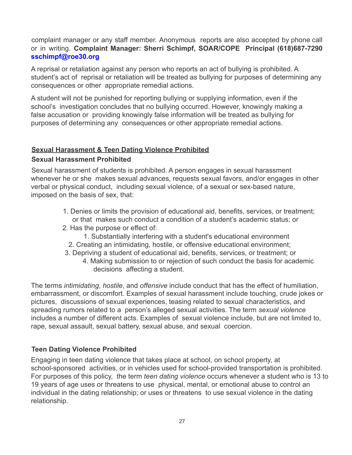complaint manager or any staff member. Anonymous reports are also accepted by phone call or in writing. **Complaint Manager: Sherri Schimpf, SOAR/COPE Principal (618)687-7290 sschimpf@roe30.org**

A reprisal or retaliation against any person who reports an act of bullying is prohibited. A student's act of reprisal or retaliation will be treated as bullying for purposes of determining any consequences or other appropriate remedial actions.

A student will not be punished for reporting bullying or supplying information, even if the school's investigation concludes that no bullying occurred. However, knowingly making a false accusation or providing knowingly false information will be treated as bullying for purposes of determining any consequences or other appropriate remedial actions.

#### **Sexual Harassment & Teen Dating Violence Prohibited**

#### **Sexual Harassment Prohibited**

Sexual harassment of students is prohibited. A person engages in sexual harassment whenever he or she makes sexual advances, requests sexual favors, and/or engages in other verbal or physical conduct, including sexual violence, of a sexual or sex-based nature, imposed on the basis of sex, that:

- 1. Denies or limits the provision of educational aid, benefits, services, or treatment; or that makes such conduct a condition of a student's academic status; or
- 2. Has the purpose or effect of:
	- 1. Substantially interfering with a student's educational environment
	- 2. Creating an intimidating, hostile, or offensive educational environment;
- 3. Depriving a student of educational aid, benefits, services, or treatment; or
	- 4. Making submission to or rejection of such conduct the basis for academic decisions affecting a student.

The terms *intimidating*, *hostile*, and *offensive* include conduct that has the effect of humiliation, embarrassment, or discomfort. Examples of sexual harassment include touching, crude jokes or pictures, discussions of sexual experiences, teasing related to sexual characteristics, and spreading rumors related to a person's alleged sexual activities. The term *sexual violence* includes a number of different acts. Examples of sexual violence include, but are not limited to, rape, sexual assault, sexual battery, sexual abuse, and sexual coercion.

#### **Teen Dating Violence Prohibited**

Engaging in teen dating violence that takes place at school, on school property, at school-sponsored activities, or in vehicles used for school-provided transportation is prohibited. For purposes of this policy, the term *teen dating violence* occurs whenever a student who is 13 to 19 years of age uses or threatens to use physical, mental, or emotional abuse to control an individual in the dating relationship; or uses or threatens to use sexual violence in the dating relationship.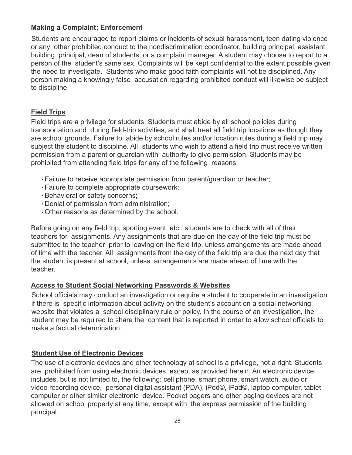#### **Making a Complaint; Enforcement**

Students are encouraged to report claims or incidents of sexual harassment, teen dating violence or any other prohibited conduct to the nondiscrimination coordinator, building principal, assistant building principal, dean of students, or a complaint manager. A student may choose to report to a person of the student's same sex. Complaints will be kept confidential to the extent possible given the need to investigate. Students who make good faith complaints will not be disciplined. Any person making a knowingly false accusation regarding prohibited conduct will likewise be subject to discipline.

#### **Field Trips**

Field trips are a privilege for students. Students must abide by all school policies during transportation and during field-trip activities, and shall treat all field trip locations as though they are school grounds. Failure to abide by school rules and/or location rules during a field trip may subject the student to discipline. All students who wish to attend a field trip must receive written permission from a parent or guardian with authority to give permission. Students may be prohibited from attending field trips for any of the following reasons:

- ∙ Failure to receive appropriate permission from parent/guardian or teacher;
- ∙ Failure to complete appropriate coursework;
- ∙ Behavioral or safety concerns;
- ∙ Denial of permission from administration;
- ∙ Other reasons as determined by the school.

Before going on any field trip, sporting event, etc., students are to check with all of their teachers for assignments. Any assignments that are due on the day of the field trip must be submitted to the teacher prior to leaving on the field trip, unless arrangements are made ahead of time with the teacher. All assignments from the day of the field trip are due the next day that the student is present at school, unless arrangements are made ahead of time with the teacher.

#### **Access to Student Social Networking Passwords & Websites**

School officials may conduct an investigation or require a student to cooperate in an investigation if there is specific information about activity on the student's account on a social networking website that violates a school disciplinary rule or policy. In the course of an investigation, the student may be required to share the content that is reported in order to allow school officials to make a factual determination.

#### **Student Use of Electronic Devices**

The use of electronic devices and other technology at school is a privilege, not a right. Students are prohibited from using electronic devices, except as provided herein. An electronic device includes, but is not limited to, the following: cell phone, smart phone, smart watch, audio or video recording device, personal digital assistant (PDA), iPod©, iPad©, laptop computer, tablet computer or other similar electronic device. Pocket pagers and other paging devices are not allowed on school property at any time, except with the express permission of the building principal.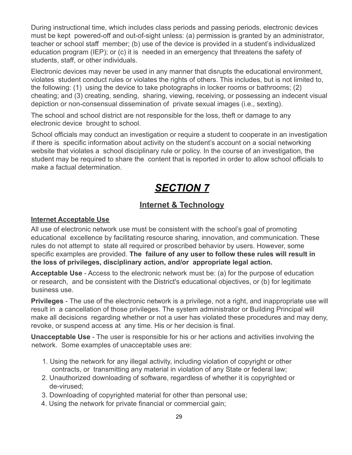During instructional time, which includes class periods and passing periods, electronic devices must be kept powered-off and out-of-sight unless: (a) permission is granted by an administrator, teacher or school staff member; (b) use of the device is provided in a student's individualized education program (IEP); or (c) it is needed in an emergency that threatens the safety of students, staff, or other individuals.

Electronic devices may never be used in any manner that disrupts the educational environment, violates student conduct rules or violates the rights of others. This includes, but is not limited to, the following: (1) using the device to take photographs in locker rooms or bathrooms; (2) cheating; and (3) creating, sending, sharing, viewing, receiving, or possessing an indecent visual depiction or non-consensual dissemination of private sexual images (i.e., sexting).

The school and school district are not responsible for the loss, theft or damage to any electronic device brought to school.

School officials may conduct an investigation or require a student to cooperate in an investigation if there is specific information about activity on the student's account on a social networking website that violates a school disciplinary rule or policy. In the course of an investigation, the student may be required to share the content that is reported in order to allow school officials to make a factual determination.

## *SECTION 7*

#### **Internet & Technology**

#### **Internet Acceptable Use**

All use of electronic network use must be consistent with the school's goal of promoting educational excellence by facilitating resource sharing, innovation, and communication. These rules do not attempt to state all required or proscribed behavior by users. However, some specific examples are provided. **The failure of any user to follow these rules will result in the loss of privileges, disciplinary action, and/or appropriate legal action.**

**Acceptable Use** - Access to the electronic network must be: (a) for the purpose of education or research, and be consistent with the District's educational objectives, or (b) for legitimate business use.

**Privileges** - The use of the electronic network is a privilege, not a right, and inappropriate use will result in a cancellation of those privileges. The system administrator or Building Principal will make all decisions regarding whether or not a user has violated these procedures and may deny, revoke, or suspend access at any time. His or her decision is final.

**Unacceptable Use** - The user is responsible for his or her actions and activities involving the network. Some examples of unacceptable uses are:

- 1. Using the network for any illegal activity, including violation of copyright or other contracts, or transmitting any material in violation of any State or federal law;
- 2. Unauthorized downloading of software, regardless of whether it is copyrighted or de-virused;
- 3. Downloading of copyrighted material for other than personal use;
- 4. Using the network for private financial or commercial gain;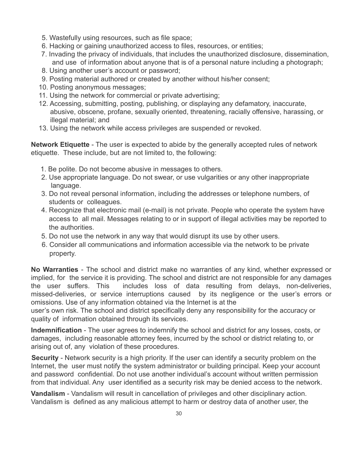- 5. Wastefully using resources, such as file space;
- 6. Hacking or gaining unauthorized access to files, resources, or entities;
- 7. Invading the privacy of individuals, that includes the unauthorized disclosure, dissemination, and use of information about anyone that is of a personal nature including a photograph;
- 8. Using another user's account or password;
- 9. Posting material authored or created by another without his/her consent;
- 10. Posting anonymous messages;
- 11. Using the network for commercial or private advertising;
- 12. Accessing, submitting, posting, publishing, or displaying any defamatory, inaccurate, abusive, obscene, profane, sexually oriented, threatening, racially offensive, harassing, or illegal material; and
- 13. Using the network while access privileges are suspended or revoked.

**Network Etiquette** - The user is expected to abide by the generally accepted rules of network etiquette. These include, but are not limited to, the following:

- 1. Be polite. Do not become abusive in messages to others.
- 2. Use appropriate language. Do not swear, or use vulgarities or any other inappropriate language.
- 3. Do not reveal personal information, including the addresses or telephone numbers, of students or colleagues.
- 4. Recognize that electronic mail (e-mail) is not private. People who operate the system have access to all mail. Messages relating to or in support of illegal activities may be reported to the authorities.
- 5. Do not use the network in any way that would disrupt its use by other users.
- 6. Consider all communications and information accessible via the network to be private property.

**No Warranties** - The school and district make no warranties of any kind, whether expressed or implied, for the service it is providing. The school and district are not responsible for any damages the user suffers. This includes loss of data resulting from delays, non-deliveries, missed-deliveries, or service interruptions caused by its negligence or the user's errors or omissions. Use of any information obtained via the Internet is at the

user's own risk. The school and district specifically deny any responsibility for the accuracy or quality of information obtained through its services.

**Indemnification** - The user agrees to indemnify the school and district for any losses, costs, or damages, including reasonable attorney fees, incurred by the school or district relating to, or arising out of, any violation of these procedures.

**Security** - Network security is a high priority. If the user can identify a security problem on the Internet, the user must notify the system administrator or building principal. Keep your account and password confidential. Do not use another individual's account without written permission from that individual. Any user identified as a security risk may be denied access to the network.

**Vandalism** - Vandalism will result in cancellation of privileges and other disciplinary action. Vandalism is defined as any malicious attempt to harm or destroy data of another user, the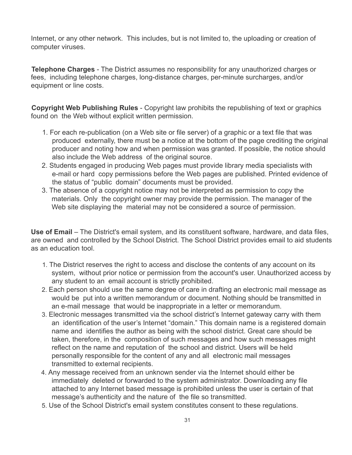Internet, or any other network. This includes, but is not limited to, the uploading or creation of computer viruses.

**Telephone Charges** - The District assumes no responsibility for any unauthorized charges or fees, including telephone charges, long-distance charges, per-minute surcharges, and/or equipment or line costs.

**Copyright Web Publishing Rules** - Copyright law prohibits the republishing of text or graphics found on the Web without explicit written permission.

- 1. For each re-publication (on a Web site or file server) of a graphic or a text file that was produced externally, there must be a notice at the bottom of the page crediting the original producer and noting how and when permission was granted. If possible, the notice should also include the Web address of the original source.
- 2. Students engaged in producing Web pages must provide library media specialists with e-mail or hard copy permissions before the Web pages are published. Printed evidence of the status of "public domain" documents must be provided.
- 3. The absence of a copyright notice may not be interpreted as permission to copy the materials. Only the copyright owner may provide the permission. The manager of the Web site displaying the material may not be considered a source of permission.

**Use of Email** – The District's email system, and its constituent software, hardware, and data files, are owned and controlled by the School District. The School District provides email to aid students as an education tool.

- 1. The District reserves the right to access and disclose the contents of any account on its system, without prior notice or permission from the account's user. Unauthorized access by any student to an email account is strictly prohibited.
- 2. Each person should use the same degree of care in drafting an electronic mail message as would be put into a written memorandum or document. Nothing should be transmitted in an e-mail message that would be inappropriate in a letter or memorandum.
- 3. Electronic messages transmitted via the school district's Internet gateway carry with them an identification of the user's Internet "domain." This domain name is a registered domain name and identifies the author as being with the school district. Great care should be taken, therefore, in the composition of such messages and how such messages might reflect on the name and reputation of the school and district. Users will be held personally responsible for the content of any and all electronic mail messages transmitted to external recipients.
- 4. Any message received from an unknown sender via the Internet should either be immediately deleted or forwarded to the system administrator. Downloading any file attached to any Internet based message is prohibited unless the user is certain of that message's authenticity and the nature of the file so transmitted.
- 5. Use of the School District's email system constitutes consent to these regulations.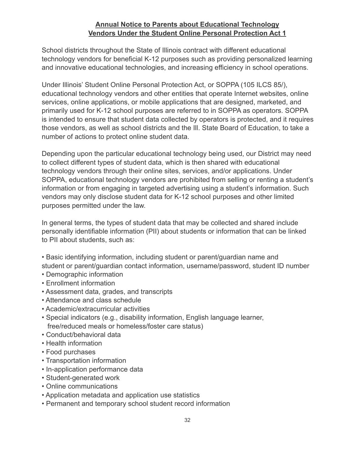#### **Annual Notice to Parents about Educational Technology Vendors Under the Student Online Personal Protection Act 1**

School districts throughout the State of Illinois contract with different educational technology vendors for beneficial K-12 purposes such as providing personalized learning and innovative educational technologies, and increasing efficiency in school operations.

Under Illinois' Student Online Personal Protection Act, or SOPPA (105 ILCS 85/), educational technology vendors and other entities that operate Internet websites, online services, online applications, or mobile applications that are designed, marketed, and primarily used for K-12 school purposes are referred to in SOPPA as operators. SOPPA is intended to ensure that student data collected by operators is protected, and it requires those vendors, as well as school districts and the Ill. State Board of Education, to take a number of actions to protect online student data.

Depending upon the particular educational technology being used, our District may need to collect different types of student data, which is then shared with educational technology vendors through their online sites, services, and/or applications. Under SOPPA, educational technology vendors are prohibited from selling or renting a student's information or from engaging in targeted advertising using a student's information. Such vendors may only disclose student data for K-12 school purposes and other limited purposes permitted under the law.

In general terms, the types of student data that may be collected and shared include personally identifiable information (PII) about students or information that can be linked to PII about students, such as:

• Basic identifying information, including student or parent/guardian name and

student or parent/guardian contact information, username/password, student ID number

- Demographic information
- Enrollment information
- Assessment data, grades, and transcripts
- Attendance and class schedule
- Academic/extracurricular activities
- Special indicators (e.g., disability information, English language learner, free/reduced meals or homeless/foster care status)
- Conduct/behavioral data
- Health information
- Food purchases
- Transportation information
- In-application performance data
- Student-generated work
- Online communications
- Application metadata and application use statistics
- Permanent and temporary school student record information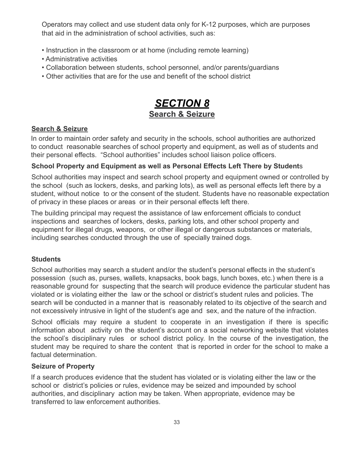Operators may collect and use student data only for K-12 purposes, which are purposes that aid in the administration of school activities, such as:

- Instruction in the classroom or at home (including remote learning)
- Administrative activities
- Collaboration between students, school personnel, and/or parents/guardians
- Other activities that are for the use and benefit of the school district

## *SECTION 8* **Search & Seizure**

#### **Search & Seizure**

In order to maintain order safety and security in the schools, school authorities are authorized to conduct reasonable searches of school property and equipment, as well as of students and their personal effects. "School authorities" includes school liaison police officers.

#### **School Property and Equipment as well as Personal Effects Left There by Student**s

School authorities may inspect and search school property and equipment owned or controlled by the school (such as lockers, desks, and parking lots), as well as personal effects left there by a student, without notice to or the consent of the student. Students have no reasonable expectation of privacy in these places or areas or in their personal effects left there.

The building principal may request the assistance of law enforcement officials to conduct inspections and searches of lockers, desks, parking lots, and other school property and equipment for illegal drugs, weapons, or other illegal or dangerous substances or materials, including searches conducted through the use of specially trained dogs.

#### **Students**

School authorities may search a student and/or the student's personal effects in the student's possession (such as, purses, wallets, knapsacks, book bags, lunch boxes, etc.) when there is a reasonable ground for suspecting that the search will produce evidence the particular student has violated or is violating either the law or the school or district's student rules and policies. The search will be conducted in a manner that is reasonably related to its objective of the search and not excessively intrusive in light of the student's age and sex, and the nature of the infraction.

School officials may require a student to cooperate in an investigation if there is specific information about activity on the student's account on a social networking website that violates the school's disciplinary rules or school district policy. In the course of the investigation, the student may be required to share the content that is reported in order for the school to make a factual determination.

#### **Seizure of Property**

If a search produces evidence that the student has violated or is violating either the law or the school or district's policies or rules, evidence may be seized and impounded by school authorities, and disciplinary action may be taken. When appropriate, evidence may be transferred to law enforcement authorities.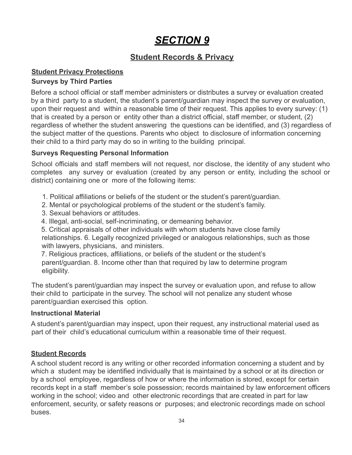## *SECTION 9*

#### **Student Records & Privacy**

#### **Student Privacy Protections**

#### **Surveys by Third Parties**

Before a school official or staff member administers or distributes a survey or evaluation created by a third party to a student, the student's parent/guardian may inspect the survey or evaluation, upon their request and within a reasonable time of their request. This applies to every survey: (1) that is created by a person or entity other than a district official, staff member, or student, (2) regardless of whether the student answering the questions can be identified, and (3) regardless of the subject matter of the questions. Parents who object to disclosure of information concerning their child to a third party may do so in writing to the building principal.

#### **Surveys Requesting Personal Information**

School officials and staff members will not request, nor disclose, the identity of any student who completes any survey or evaluation (created by any person or entity, including the school or district) containing one or more of the following items:

- 1. Political affiliations or beliefs of the student or the student's parent/guardian.
- 2. Mental or psychological problems of the student or the student's family.
- 3. Sexual behaviors or attitudes.
- 4. Illegal, anti-social, self-incriminating, or demeaning behavior.

5. Critical appraisals of other individuals with whom students have close family relationships. 6. Legally recognized privileged or analogous relationships, such as those with lawyers, physicians, and ministers.

7. Religious practices, affiliations, or beliefs of the student or the student's parent/guardian. 8. Income other than that required by law to determine program eligibility.

The student's parent/guardian may inspect the survey or evaluation upon, and refuse to allow their child to participate in the survey. The school will not penalize any student whose parent/guardian exercised this option.

#### **Instructional Material**

A student's parent/guardian may inspect, upon their request, any instructional material used as part of their child's educational curriculum within a reasonable time of their request.

#### **Student Records**

A school student record is any writing or other recorded information concerning a student and by which a student may be identified individually that is maintained by a school or at its direction or by a school employee, regardless of how or where the information is stored, except for certain records kept in a staff member's sole possession; records maintained by law enforcement officers working in the school; video and other electronic recordings that are created in part for law enforcement, security, or safety reasons or purposes; and electronic recordings made on school buses.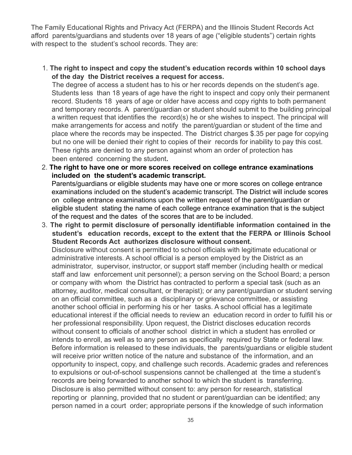The Family Educational Rights and Privacy Act (FERPA) and the Illinois Student Records Act afford parents/guardians and students over 18 years of age ("eligible students") certain rights with respect to the student's school records. They are:

1. **The right to inspect and copy the student's education records within 10 school days of the day the District receives a request for access.**

The degree of access a student has to his or her records depends on the student's age. Students less than 18 years of age have the right to inspect and copy only their permanent record. Students 18 years of age or older have access and copy rights to both permanent and temporary records. A parent/guardian or student should submit to the building principal a written request that identifies the record(s) he or she wishes to inspect. The principal will make arrangements for access and notify the parent/guardian or student of the time and place where the records may be inspected. The District charges \$.35 per page for copying but no one will be denied their right to copies of their records for inability to pay this cost. These rights are denied to any person against whom an order of protection has been entered concerning the student**.**

- 2. **The right to have one or more scores received on college entrance examinations included on the student's academic transcript.** Parents/guardians or eligible students may have one or more scores on college entrance examinations included on the student's academic transcript. The District will include scores on college entrance examinations upon the written request of the parent/guardian or eligible student stating the name of each college entrance examination that is the subject of the request and the dates of the scores that are to be included.
- 3. **The right to permit disclosure of personally identifiable information contained in the student's education records, except to the extent that the FERPA or Illinois School Student Records Act authorizes disclosure without consent.**

Disclosure without consent is permitted to school officials with legitimate educational or administrative interests. A school official is a person employed by the District as an administrator, supervisor, instructor, or support staff member (including health or medical staff and law enforcement unit personnel); a person serving on the School Board; a person or company with whom the District has contracted to perform a special task (such as an attorney, auditor, medical consultant, or therapist); or any parent/guardian or student serving on an official committee, such as a disciplinary or grievance committee, or assisting another school official in performing his or her tasks. A school official has a legitimate educational interest if the official needs to review an education record in order to fulfill his or her professional responsibility. Upon request, the District discloses education records without consent to officials of another school district in which a student has enrolled or intends to enroll, as well as to any person as specifically required by State or federal law. Before information is released to these individuals, the parents/guardians or eligible student will receive prior written notice of the nature and substance of the information, and an opportunity to inspect, copy, and challenge such records. Academic grades and references to expulsions or out-of-school suspensions cannot be challenged at the time a student's records are being forwarded to another school to which the student is transferring. Disclosure is also permitted without consent to: any person for research, statistical reporting or planning, provided that no student or parent/guardian can be identified; any person named in a court order; appropriate persons if the knowledge of such information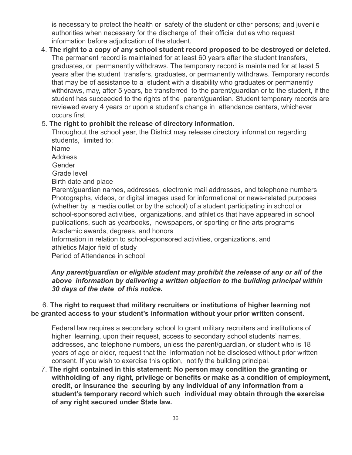is necessary to protect the health or safety of the student or other persons; and juvenile authorities when necessary for the discharge of their official duties who request information before adjudication of the student.

4. **The right to a copy of any school student record proposed to be destroyed or deleted.** The permanent record is maintained for at least 60 years after the student transfers, graduates, or permanently withdraws. The temporary record is maintained for at least 5 years after the student transfers, graduates, or permanently withdraws. Temporary records that may be of assistance to a student with a disability who graduates or permanently withdraws, may, after 5 years, be transferred to the parent/guardian or to the student, if the student has succeeded to the rights of the parent/guardian. Student temporary records are reviewed every 4 years or upon a student's change in attendance centers, whichever occurs first

#### 5. **The right to prohibit the release of directory information.**

Throughout the school year, the District may release directory information regarding students, limited to:

Name

Address

Gender

Grade level

Birth date and place

Parent/guardian names, addresses, electronic mail addresses, and telephone numbers Photographs, videos, or digital images used for informational or news-related purposes (whether by a media outlet or by the school) of a student participating in school or school-sponsored activities, organizations, and athletics that have appeared in school publications, such as yearbooks, newspapers, or sporting or fine arts programs Academic awards, degrees, and honors

Information in relation to school-sponsored activities, organizations, and athletics Major field of study

Period of Attendance in school

#### *Any parent/guardian or eligible student may prohibit the release of any or all of the above information by delivering a written objection to the building principal within 30 days of the date of this notice.*

#### 6. **The right to request that military recruiters or institutions of higher learning not be granted access to your student's information without your prior written consent.**

Federal law requires a secondary school to grant military recruiters and institutions of higher learning, upon their request, access to secondary school students' names, addresses, and telephone numbers, unless the parent/guardian, or student who is 18 years of age or older, request that the information not be disclosed without prior written consent. If you wish to exercise this option, notify the building principal.

7. **The right contained in this statement: No person may condition the granting or withholding of any right, privilege or benefits or make as a condition of employment, credit, or insurance the securing by any individual of any information from a student's temporary record which such individual may obtain through the exercise of any right secured under State law.**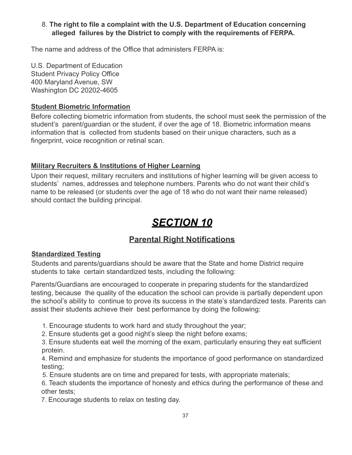#### 8. **The right to file a complaint with the U.S. Department of Education concerning alleged failures by the District to comply with the requirements of FERPA.**

The name and address of the Office that administers FERPA is:

U.S. Department of Education Student Privacy Policy Office 400 Maryland Avenue, SW Washington DC 20202-4605

#### **Student Biometric Information**

Before collecting biometric information from students, the school must seek the permission of the student's parent/guardian or the student, if over the age of 18. Biometric information means information that is collected from students based on their unique characters, such as a fingerprint, voice recognition or retinal scan.

#### **Military Recruiters & Institutions of Higher Learning**

Upon their request, military recruiters and institutions of higher learning will be given access to students' names, addresses and telephone numbers. Parents who do not want their child's name to be released (or students over the age of 18 who do not want their name released) should contact the building principal.

## *SECTION 10*

#### **Parental Right Notifications**

#### **Standardized Testing**

Students and parents/guardians should be aware that the State and home District require students to take certain standardized tests, including the following:

Parents/Guardians are encouraged to cooperate in preparing students for the standardized testing, because the quality of the education the school can provide is partially dependent upon the school's ability to continue to prove its success in the state's standardized tests. Parents can assist their students achieve their best performance by doing the following:

1. Encourage students to work hard and study throughout the year;

2. Ensure students get a good night's sleep the night before exams;

3. Ensure students eat well the morning of the exam, particularly ensuring they eat sufficient protein.

4. Remind and emphasize for students the importance of good performance on standardized testing;

5. Ensure students are on time and prepared for tests, with appropriate materials;

6. Teach students the importance of honesty and ethics during the performance of these and other tests;

7. Encourage students to relax on testing day.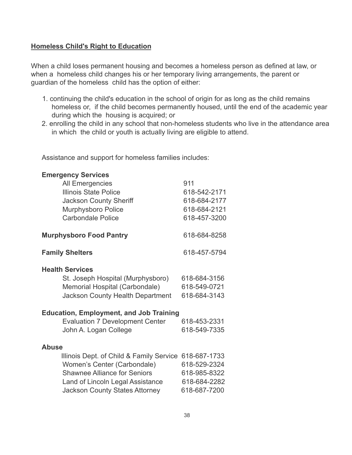#### **Homeless Child's Right to Education**

When a child loses permanent housing and becomes a homeless person as defined at law, or when a homeless child changes his or her temporary living arrangements, the parent or guardian of the homeless child has the option of either:

- 1. continuing the child's education in the school of origin for as long as the child remains homeless or, if the child becomes permanently housed, until the end of the academic year during which the housing is acquired; or
- 2. enrolling the child in any school that non-homeless students who live in the attendance area in which the child or youth is actually living are eligible to attend.

Assistance and support for homeless families includes:

| <b>Emergency Services</b>                      |              |  |
|------------------------------------------------|--------------|--|
| All Emergencies                                | 911          |  |
| Illinois State Police                          | 618-542-2171 |  |
| <b>Jackson County Sheriff</b>                  | 618-684-2177 |  |
| Murphysboro Police                             | 618-684-2121 |  |
| <b>Carbondale Police</b>                       | 618-457-3200 |  |
|                                                |              |  |
| <b>Murphysboro Food Pantry</b>                 | 618-684-8258 |  |
| <b>Family Shelters</b>                         | 618-457-5794 |  |
| <b>Health Services</b>                         |              |  |
| St. Joseph Hospital (Murphysboro)              | 618-684-3156 |  |
| Memorial Hospital (Carbondale)                 | 618-549-0721 |  |
| <b>Jackson County Health Department</b>        | 618-684-3143 |  |
|                                                |              |  |
| <b>Education, Employment, and Job Training</b> |              |  |
| <b>Evaluation 7 Development Center</b>         | 618-453-2331 |  |
| John A. Logan College                          | 618-549-7335 |  |
|                                                |              |  |
| <b>Abuse</b>                                   |              |  |
| Illinois Dept. of Child & Family Service       | 618-687-1733 |  |
| Women's Center (Carbondale)                    | 618-529-2324 |  |
| <b>Shawnee Alliance for Seniors</b>            | 618-985-8322 |  |
| Land of Lincoln Legal Assistance               | 618-684-2282 |  |
|                                                |              |  |
| <b>Jackson County States Attorney</b>          | 618-687-7200 |  |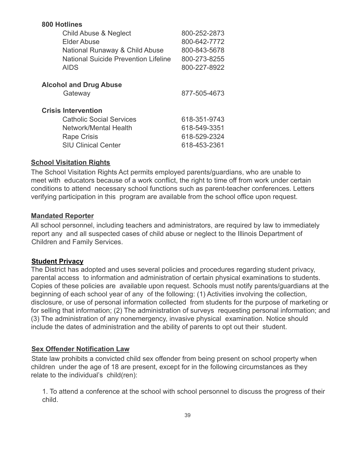| <b>800 Hotlines</b>                         |              |
|---------------------------------------------|--------------|
| Child Abuse & Neglect                       | 800-252-2873 |
| Elder Abuse                                 | 800-642-7772 |
| National Runaway & Child Abuse              | 800-843-5678 |
| <b>National Suicide Prevention Lifeline</b> | 800-273-8255 |
| <b>AIDS</b>                                 | 800-227-8922 |
| <b>Alcohol and Drug Abuse</b>               |              |
| Gateway                                     | 877-505-4673 |
| <b>Crisis Intervention</b>                  |              |
| <b>Catholic Social Services</b>             | 618-351-9743 |
| Network/Mental Health                       | 618-549-3351 |
| <b>Rape Crisis</b>                          | 618-529-2324 |
| <b>SIU Clinical Center</b>                  | 618-453-2361 |

#### **School Visitation Rights**

The School Visitation Rights Act permits employed parents/guardians, who are unable to meet with educators because of a work conflict, the right to time off from work under certain conditions to attend necessary school functions such as parent-teacher conferences. Letters verifying participation in this program are available from the school office upon request.

#### **Mandated Reporter**

All school personnel, including teachers and administrators, are required by law to immediately report any and all suspected cases of child abuse or neglect to the Illinois Department of Children and Family Services.

#### **Student Privacy**

The District has adopted and uses several policies and procedures regarding student privacy, parental access to information and administration of certain physical examinations to students. Copies of these policies are available upon request. Schools must notify parents/guardians at the beginning of each school year of any of the following: (1) Activities involving the collection, disclosure, or use of personal information collected from students for the purpose of marketing or for selling that information; (2) The administration of surveys requesting personal information; and (3) The administration of any nonemergency, invasive physical examination. Notice should include the dates of administration and the ability of parents to opt out their student.

#### **Sex Offender Notification Law**

State law prohibits a convicted child sex offender from being present on school property when children under the age of 18 are present, except for in the following circumstances as they relate to the individual's child(ren):

1. To attend a conference at the school with school personnel to discuss the progress of their child.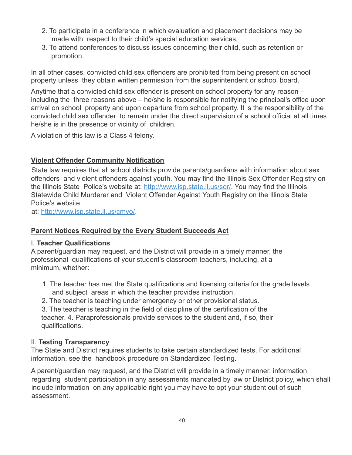- 2. To participate in a conference in which evaluation and placement decisions may be made with respect to their child's special education services.
- 3. To attend conferences to discuss issues concerning their child, such as retention or promotion.

In all other cases, convicted child sex offenders are prohibited from being present on school property unless they obtain written permission from the superintendent or school board.

Anytime that a convicted child sex offender is present on school property for any reason – including the three reasons above – he/she is responsible for notifying the principal's office upon arrival on school property and upon departure from school property. It is the responsibility of the convicted child sex offender to remain under the direct supervision of a school official at all times he/she is in the presence or vicinity of children.

A violation of this law is a Class 4 felony.

#### **Violent Offender Community Notification**

State law requires that all school districts provide parents/guardians with information about sex offenders and violent offenders against youth. You may find the Illinois Sex Offender Registry on the Illinois State Police's website at: http://www.isp.state.il.us/sor/. You may find the Illinois Statewide Child Murderer and Violent Offender Against Youth Registry on the Illinois State Police's website

at: http://www.isp.state.il.us/cmvo/.

#### **Parent Notices Required by the Every Student Succeeds Act**

#### I. **Teacher Qualifications**

A parent/guardian may request, and the District will provide in a timely manner, the professional qualifications of your student's classroom teachers, including, at a minimum, whether:

- 1. The teacher has met the State qualifications and licensing criteria for the grade levels and subject areas in which the teacher provides instruction.
- 2. The teacher is teaching under emergency or other provisional status.

3. The teacher is teaching in the field of discipline of the certification of the teacher. 4. Paraprofessionals provide services to the student and, if so, their qualifications.

#### II. **Testing Transparency**

The State and District requires students to take certain standardized tests. For additional information, see the handbook procedure on Standardized Testing.

A parent/guardian may request, and the District will provide in a timely manner, information regarding student participation in any assessments mandated by law or District policy, which shall include information on any applicable right you may have to opt your student out of such assessment.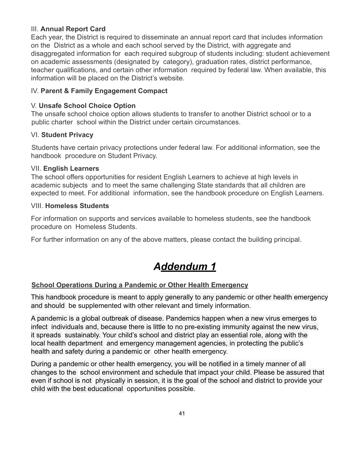#### III. **Annual Report Card**

Each year, the District is required to disseminate an annual report card that includes information on the District as a whole and each school served by the District, with aggregate and disaggregated information for each required subgroup of students including: student achievement on academic assessments (designated by category), graduation rates, district performance, teacher qualifications, and certain other information required by federal law. When available, this information will be placed on the District's website.

#### IV. **Parent & Family Engagement Compact**

#### V. **Unsafe School Choice Option**

The unsafe school choice option allows students to transfer to another District school or to a public charter school within the District under certain circumstances.

#### VI. **Student Privacy**

Students have certain privacy protections under federal law. For additional information, see the handbook procedure on Student Privacy.

#### VII. **English Learners**

The school offers opportunities for resident English Learners to achieve at high levels in academic subjects and to meet the same challenging State standards that all children are expected to meet. For additional information, see the handbook procedure on English Learners.

#### VIII. **Homeless Students**

For information on supports and services available to homeless students, see the handbook procedure on Homeless Students.

For further information on any of the above matters, please contact the building principal.

## *Addendum 1*

#### **School Operations During a Pandemic or Other Health Emergency**

This handbook procedure is meant to apply generally to any pandemic or other health emergency and should be supplemented with other relevant and timely information.

A pandemic is a global outbreak of disease. Pandemics happen when a new virus emerges to infect individuals and, because there is little to no pre-existing immunity against the new virus, it spreads sustainably. Your child's school and district play an essential role, along with the local health department and emergency management agencies, in protecting the public's health and safety during a pandemic or other health emergency.

During a pandemic or other health emergency, you will be notified in a timely manner of all changes to the school environment and schedule that impact your child. Please be assured that even if school is not physically in session, it is the goal of the school and district to provide your child with the best educational opportunities possible.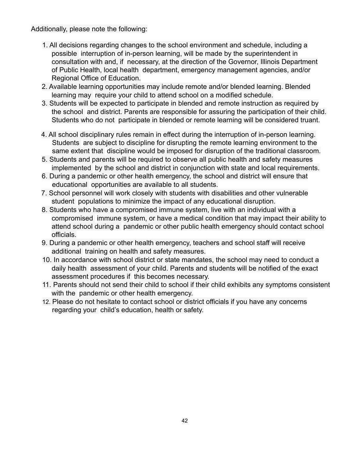Additionally, please note the following:

- 1. All decisions regarding changes to the school environment and schedule, including a possible interruption of in-person learning, will be made by the superintendent in consultation with and, if necessary, at the direction of the Governor, Illinois Department of Public Health, local health department, emergency management agencies, and/or Regional Office of Education.
- 2. Available learning opportunities may include remote and/or blended learning. Blended learning may require your child to attend school on a modified schedule.
- 3. Students will be expected to participate in blended and remote instruction as required by the school and district. Parents are responsible for assuring the participation of their child. Students who do not participate in blended or remote learning will be considered truant.
- 4. All school disciplinary rules remain in effect during the interruption of in-person learning. Students are subject to discipline for disrupting the remote learning environment to the same extent that discipline would be imposed for disruption of the traditional classroom.
- 5. Students and parents will be required to observe all public health and safety measures implemented by the school and district in conjunction with state and local requirements.
- 6. During a pandemic or other health emergency, the school and district will ensure that educational opportunities are available to all students.
- 7. School personnel will work closely with students with disabilities and other vulnerable student populations to minimize the impact of any educational disruption.
- 8. Students who have a compromised immune system, live with an individual with a compromised immune system, or have a medical condition that may impact their ability to attend school during a pandemic or other public health emergency should contact school officials.
- 9. During a pandemic or other health emergency, teachers and school staff will receive additional training on health and safety measures.
- 10. In accordance with school district or state mandates, the school may need to conduct a daily health assessment of your child. Parents and students will be notified of the exact assessment procedures if this becomes necessary.
- 11. Parents should not send their child to school if their child exhibits any symptoms consistent with the pandemic or other health emergency.
- 12. Please do not hesitate to contact school or district officials if you have any concerns regarding your child's education, health or safety.